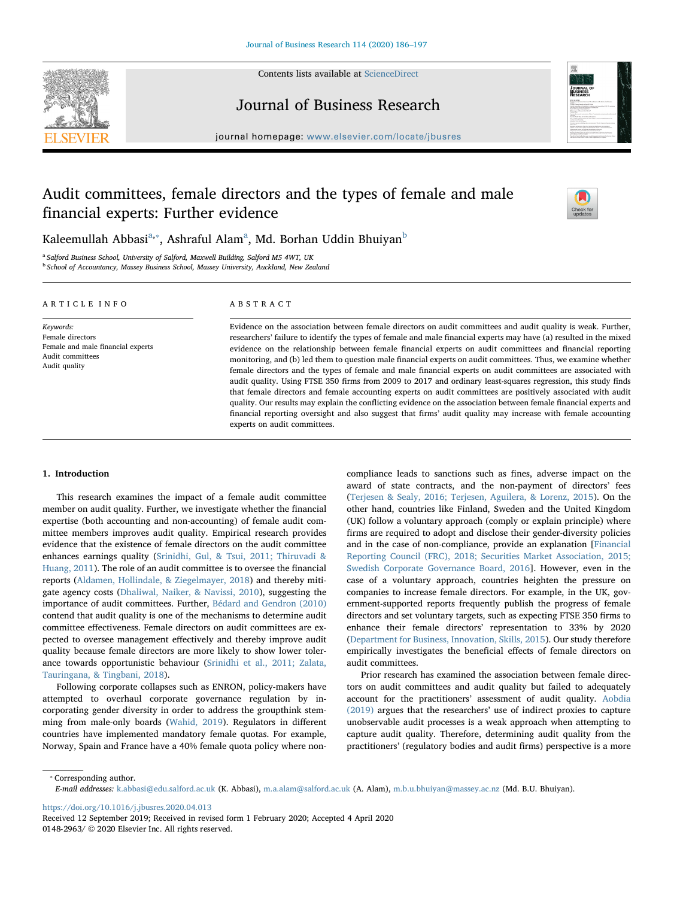

Contents lists available at [ScienceDirect](http://www.sciencedirect.com/science/journal/01482963)

Journal of Business Research



journal homepage: [www.elsevier.com/locate/jbusres](https://www.elsevier.com/locate/jbusres)

# Audit committees, female directors and the types of female and male financial experts: Further evidence

experts on audit committees.



K[a](#page-0-0)leemullah A[b](#page-0-2)basi<sup>a,</sup>\*, Ashraful Alam<sup>a</sup>, Md. Borhan Uddin Bhuiyan<sup>b</sup>

<span id="page-0-2"></span><span id="page-0-0"></span><sup>a</sup> Salford Business School, University of Salford, Maxwell Building, Salford M5 4WT, UK **b School of Accountancy, Massey Business School, Massey University, Auckland, New Zealand** 

| ARTICLE INFO                                                                                            | ABSTRACT                                                                                                                                                                                                                                                                                                                                                                                                                                                                                                                                                                                                                                                                                                                                                                                                                                                                                                                              |
|---------------------------------------------------------------------------------------------------------|---------------------------------------------------------------------------------------------------------------------------------------------------------------------------------------------------------------------------------------------------------------------------------------------------------------------------------------------------------------------------------------------------------------------------------------------------------------------------------------------------------------------------------------------------------------------------------------------------------------------------------------------------------------------------------------------------------------------------------------------------------------------------------------------------------------------------------------------------------------------------------------------------------------------------------------|
| Keywords:<br>Female directors<br>Female and male financial experts<br>Audit committees<br>Audit quality | Evidence on the association between female directors on audit committees and audit quality is weak. Further,<br>researchers' failure to identify the types of female and male financial experts may have (a) resulted in the mixed<br>evidence on the relationship between female financial experts on audit committees and financial reporting<br>monitoring, and (b) led them to question male financial experts on audit committees. Thus, we examine whether<br>female directors and the types of female and male financial experts on audit committees are associated with<br>audit quality. Using FTSE 350 firms from 2009 to 2017 and ordinary least-squares regression, this study finds<br>that female directors and female accounting experts on audit committees are positively associated with audit<br>quality. Our results may explain the conflicting evidence on the association between female financial experts and |
|                                                                                                         | financial reporting oversight and also suggest that firms' audit quality may increase with female accounting                                                                                                                                                                                                                                                                                                                                                                                                                                                                                                                                                                                                                                                                                                                                                                                                                          |

# 1. Introduction

This research examines the impact of a female audit committee member on audit quality. Further, we investigate whether the financial expertise (both accounting and non-accounting) of female audit committee members improves audit quality. Empirical research provides evidence that the existence of female directors on the audit committee enhances earnings quality ([Srinidhi, Gul, & Tsui, 2011; Thiruvadi &](#page-11-0) [Huang, 2011\)](#page-11-0). The role of an audit committee is to oversee the financial reports [\(Aldamen, Hollindale, & Ziegelmayer, 2018\)](#page-10-0) and thereby mitigate agency costs [\(Dhaliwal, Naiker, & Navissi, 2010](#page-10-1)), suggesting the importance of audit committees. Further, [Bédard and Gendron \(2010\)](#page-10-2) contend that audit quality is one of the mechanisms to determine audit committee effectiveness. Female directors on audit committees are expected to oversee management effectively and thereby improve audit quality because female directors are more likely to show lower tolerance towards opportunistic behaviour [\(Srinidhi et al., 2011; Zalata,](#page-11-0) [Tauringana, & Tingbani, 2018](#page-11-0)).

Following corporate collapses such as ENRON, policy-makers have attempted to overhaul corporate governance regulation by incorporating gender diversity in order to address the groupthink stemming from male-only boards ([Wahid, 2019\)](#page-11-1). Regulators in different countries have implemented mandatory female quotas. For example, Norway, Spain and France have a 40% female quota policy where noncompliance leads to sanctions such as fines, adverse impact on the award of state contracts, and the non-payment of directors' fees ([Terjesen & Sealy, 2016; Terjesen, Aguilera, & Lorenz, 2015\)](#page-11-2). On the other hand, countries like Finland, Sweden and the United Kingdom (UK) follow a voluntary approach (comply or explain principle) where firms are required to adopt and disclose their gender-diversity policies and in the case of non-compliance, provide an explanation [\[Financial](#page-10-3) [Reporting Council \(FRC\), 2018; Securities Market Association, 2015;](#page-10-3) [Swedish Corporate Governance Board, 2016](#page-10-3)]. However, even in the case of a voluntary approach, countries heighten the pressure on companies to increase female directors. For example, in the UK, government-supported reports frequently publish the progress of female directors and set voluntary targets, such as expecting FTSE 350 firms to enhance their female directors' representation to 33% by 2020 ([Department for Business, Innovation, Skills, 2015](#page-10-4)). Our study therefore empirically investigates the beneficial effects of female directors on audit committees.

Prior research has examined the association between female directors on audit committees and audit quality but failed to adequately account for the practitioners' assessment of audit quality. [Aobdia](#page-10-5) [\(2019\)](#page-10-5) argues that the researchers' use of indirect proxies to capture unobservable audit processes is a weak approach when attempting to capture audit quality. Therefore, determining audit quality from the practitioners' (regulatory bodies and audit firms) perspective is a more

<span id="page-0-1"></span>⁎ Corresponding author.

<https://doi.org/10.1016/j.jbusres.2020.04.013>

E-mail addresses: [k.abbasi@edu.salford.ac.uk](mailto:k.abbasi@edu.salford.ac.uk) (K. Abbasi), [m.a.alam@salford.ac.uk](mailto:m.a.alam@salford.ac.uk) (A. Alam), [m.b.u.bhuiyan@massey.ac.nz](mailto:m.b.u.bhuiyan@massey.ac.nz) (Md. B.U. Bhuiyan).

Received 12 September 2019; Received in revised form 1 February 2020; Accepted 4 April 2020 0148-2963/ © 2020 Elsevier Inc. All rights reserved.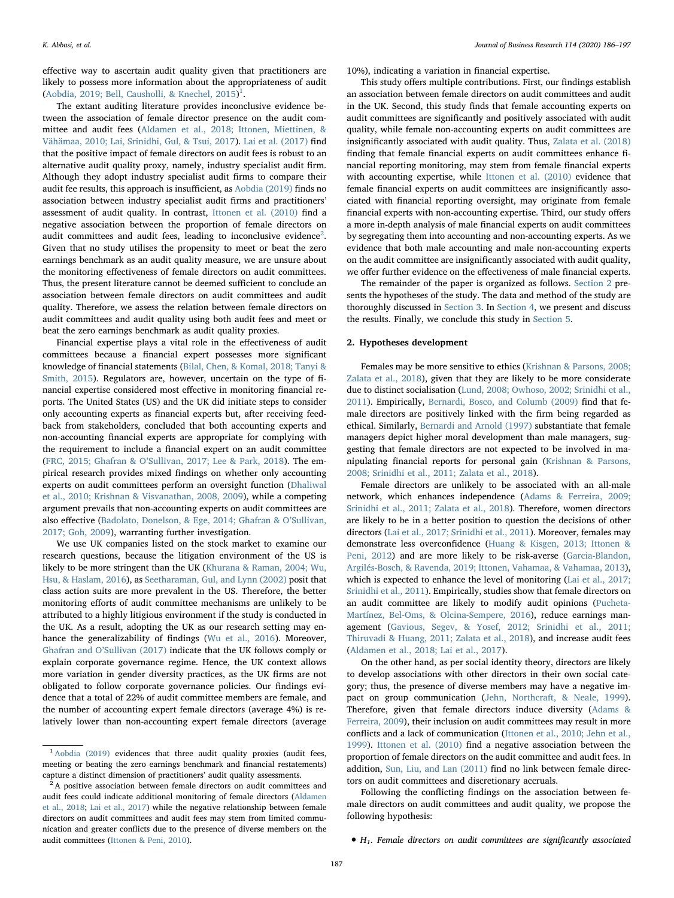effective way to ascertain audit quality given that practitioners are likely to possess more information about the appropriateness of audit ([Aobdia, 2019; Bell, Causholli, & Knechel, 2015\)](#page-10-5)<sup>[1](#page-1-0)</sup>.

The extant auditing literature provides inconclusive evidence between the association of female director presence on the audit committee and audit fees ([Aldamen et al., 2018; Ittonen, Miettinen, &](#page-10-0) [Vähämaa, 2010; Lai, Srinidhi, Gul, & Tsui, 2017\)](#page-10-0). [Lai et al. \(2017\)](#page-10-6) find that the positive impact of female directors on audit fees is robust to an alternative audit quality proxy, namely, industry specialist audit firm. Although they adopt industry specialist audit firms to compare their audit fee results, this approach is insufficient, as [Aobdia \(2019\)](#page-10-5) finds no association between industry specialist audit firms and practitioners' assessment of audit quality. In contrast, [Ittonen et al. \(2010\)](#page-10-7) find a negative association between the proportion of female directors on audit committees and audit fees, leading to inconclusive evidence<sup>[2](#page-1-1)</sup>. Given that no study utilises the propensity to meet or beat the zero earnings benchmark as an audit quality measure, we are unsure about the monitoring effectiveness of female directors on audit committees. Thus, the present literature cannot be deemed sufficient to conclude an association between female directors on audit committees and audit quality. Therefore, we assess the relation between female directors on audit committees and audit quality using both audit fees and meet or beat the zero earnings benchmark as audit quality proxies.

Financial expertise plays a vital role in the effectiveness of audit committees because a financial expert possesses more significant knowledge of financial statements [\(Bilal, Chen, & Komal, 2018; Tanyi &](#page-10-8) [Smith, 2015](#page-10-8)). Regulators are, however, uncertain on the type of financial expertise considered most effective in monitoring financial reports. The United States (US) and the UK did initiate steps to consider only accounting experts as financial experts but, after receiving feedback from stakeholders, concluded that both accounting experts and non-accounting financial experts are appropriate for complying with the requirement to include a financial expert on an audit committee (FRC, 2015; Ghafran & O'[Sullivan, 2017; Lee & Park, 2018\)](#page-10-9). The empirical research provides mixed findings on whether only accounting experts on audit committees perform an oversight function [\(Dhaliwal](#page-10-1) [et al., 2010; Krishnan & Visvanathan, 2008, 2009\)](#page-10-1), while a competing argument prevails that non-accounting experts on audit committees are also effective [\(Badolato, Donelson, & Ege, 2014; Ghafran & O](#page-10-10)'Sullivan, [2017; Goh, 2009\)](#page-10-10), warranting further investigation.

We use UK companies listed on the stock market to examine our research questions, because the litigation environment of the US is likely to be more stringent than the UK [\(Khurana & Raman, 2004; Wu,](#page-10-11) [Hsu, & Haslam, 2016\)](#page-10-11), as [Seetharaman, Gul, and Lynn \(2002\)](#page-11-3) posit that class action suits are more prevalent in the US. Therefore, the better monitoring efforts of audit committee mechanisms are unlikely to be attributed to a highly litigious environment if the study is conducted in the UK. As a result, adopting the UK as our research setting may enhance the generalizability of findings [\(Wu et al., 2016](#page-11-4)). Moreover, Ghafran and O'[Sullivan \(2017\)](#page-10-12) indicate that the UK follows comply or explain corporate governance regime. Hence, the UK context allows more variation in gender diversity practices, as the UK firms are not obligated to follow corporate governance policies. Our findings evidence that a total of 22% of audit committee members are female, and the number of accounting expert female directors (average 4%) is relatively lower than non-accounting expert female directors (average

10%), indicating a variation in financial expertise.

This study offers multiple contributions. First, our findings establish an association between female directors on audit committees and audit in the UK. Second, this study finds that female accounting experts on audit committees are significantly and positively associated with audit quality, while female non-accounting experts on audit committees are insignificantly associated with audit quality. Thus, [Zalata et al. \(2018\)](#page-11-5) finding that female financial experts on audit committees enhance financial reporting monitoring, may stem from female financial experts with accounting expertise, while [Ittonen et al. \(2010\)](#page-10-7) evidence that female financial experts on audit committees are insignificantly associated with financial reporting oversight, may originate from female financial experts with non-accounting expertise. Third, our study offers a more in-depth analysis of male financial experts on audit committees by segregating them into accounting and non-accounting experts. As we evidence that both male accounting and male non-accounting experts on the audit committee are insignificantly associated with audit quality, we offer further evidence on the effectiveness of male financial experts.

The remainder of the paper is organized as follows. [Section 2](#page-1-2) presents the hypotheses of the study. The data and method of the study are thoroughly discussed in [Section 3](#page-2-0). In [Section 4](#page-4-0), we present and discuss the results. Finally, we conclude this study in [Section 5](#page-8-0).

# <span id="page-1-2"></span>2. Hypotheses development

Females may be more sensitive to ethics ([Krishnan & Parsons, 2008;](#page-10-13) [Zalata et al., 2018\)](#page-10-13), given that they are likely to be more considerate due to distinct socialisation [\(Lund, 2008; Owhoso, 2002; Srinidhi et al.,](#page-10-14) [2011\)](#page-10-14). Empirically, [Bernardi, Bosco, and Columb \(2009\)](#page-10-15) find that female directors are positively linked with the firm being regarded as ethical. Similarly, [Bernardi and Arnold \(1997\)](#page-10-16) substantiate that female managers depict higher moral development than male managers, suggesting that female directors are not expected to be involved in manipulating financial reports for personal gain ([Krishnan & Parsons,](#page-10-13) [2008; Srinidhi et al., 2011; Zalata et al., 2018](#page-10-13)).

Female directors are unlikely to be associated with an all-male network, which enhances independence [\(Adams & Ferreira, 2009;](#page-10-17) [Srinidhi et al., 2011; Zalata et al., 2018](#page-10-17)). Therefore, women directors are likely to be in a better position to question the decisions of other directors ([Lai et al., 2017; Srinidhi et al., 2011](#page-10-6)). Moreover, females may demonstrate less overconfidence ([Huang & Kisgen, 2013; Ittonen &](#page-10-18) [Peni, 2012](#page-10-18)) and are more likely to be risk-averse ([Garcia-Blandon,](#page-10-19) [Argilés-Bosch, & Ravenda, 2019; Ittonen, Vahamaa, & Vahamaa, 2013](#page-10-19)), which is expected to enhance the level of monitoring ([Lai et al., 2017;](#page-10-6) [Srinidhi et al., 2011\)](#page-10-6). Empirically, studies show that female directors on an audit committee are likely to modify audit opinions ([Pucheta-](#page-10-20)[Martínez, Bel-Oms, & Olcina-Sempere, 2016](#page-10-20)), reduce earnings management [\(Gavious, Segev, & Yosef, 2012; Srinidhi et al., 2011;](#page-10-21) [Thiruvadi & Huang, 2011; Zalata et al., 2018](#page-10-21)), and increase audit fees ([Aldamen et al., 2018; Lai et al., 2017\)](#page-10-0).

On the other hand, as per social identity theory, directors are likely to develop associations with other directors in their own social category; thus, the presence of diverse members may have a negative impact on group communication ([Jehn, Northcraft, & Neale, 1999](#page-10-22)). Therefore, given that female directors induce diversity [\(Adams &](#page-10-17) [Ferreira, 2009\)](#page-10-17), their inclusion on audit committees may result in more conflicts and a lack of communication [\(Ittonen et al., 2010; Jehn et al.,](#page-10-7) [1999\)](#page-10-7). [Ittonen et al. \(2010\)](#page-10-7) find a negative association between the proportion of female directors on the audit committee and audit fees. In addition, [Sun, Liu, and Lan \(2011\)](#page-11-6) find no link between female directors on audit committees and discretionary accruals.

Following the conflicting findings on the association between female directors on audit committees and audit quality, we propose the following hypothesis:

<span id="page-1-0"></span><sup>&</sup>lt;sup>1</sup> [Aobdia \(2019\)](#page-10-5) evidences that three audit quality proxies (audit fees, meeting or beating the zero earnings benchmark and financial restatements) capture a distinct dimension of practitioners' audit quality assessments.

<span id="page-1-1"></span><sup>&</sup>lt;sup>2</sup>A positive association between female directors on audit committees and audit fees could indicate additional monitoring of female directors [\(Aldamen](#page-10-0) [et al., 2018;](#page-10-0) [Lai et al., 2017](#page-10-6)) while the negative relationship between female directors on audit committees and audit fees may stem from limited communication and greater conflicts due to the presence of diverse members on the audit committees ([Ittonen & Peni, 2010\)](#page-10-23).

 $\bullet$  H<sub>1</sub>. Female directors on audit committees are significantly associated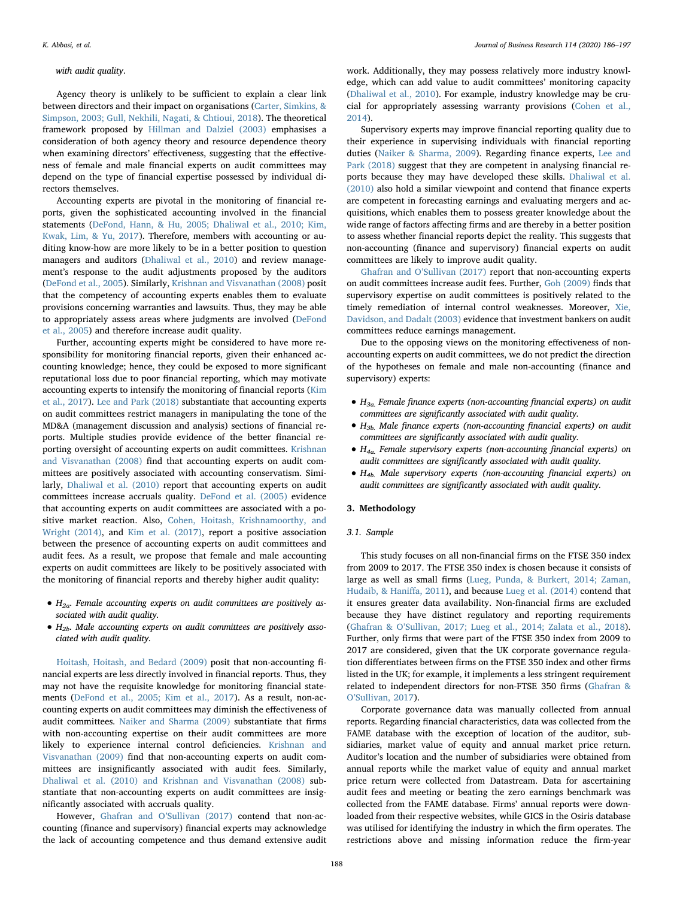#### with audit quality.

Agency theory is unlikely to be sufficient to explain a clear link between directors and their impact on organisations ([Carter, Simkins, &](#page-10-24) [Simpson, 2003; Gull, Nekhili, Nagati, & Chtioui, 2018\)](#page-10-24). The theoretical framework proposed by [Hillman and Dalziel \(2003\)](#page-10-25) emphasises a consideration of both agency theory and resource dependence theory when examining directors' effectiveness, suggesting that the effectiveness of female and male financial experts on audit committees may depend on the type of financial expertise possessed by individual directors themselves.

Accounting experts are pivotal in the monitoring of financial reports, given the sophisticated accounting involved in the financial statements ([DeFond, Hann, & Hu, 2005; Dhaliwal et al., 2010; Kim,](#page-10-26) [Kwak, Lim, & Yu, 2017\)](#page-10-26). Therefore, members with accounting or auditing know-how are more likely to be in a better position to question managers and auditors [\(Dhaliwal et al., 2010\)](#page-10-1) and review management's response to the audit adjustments proposed by the auditors ([DeFond et al., 2005\)](#page-10-26). Similarly, [Krishnan and Visvanathan \(2008\)](#page-10-27) posit that the competency of accounting experts enables them to evaluate provisions concerning warranties and lawsuits. Thus, they may be able to appropriately assess areas where judgments are involved ([DeFond](#page-10-26) [et al., 2005](#page-10-26)) and therefore increase audit quality.

Further, accounting experts might be considered to have more responsibility for monitoring financial reports, given their enhanced accounting knowledge; hence, they could be exposed to more significant reputational loss due to poor financial reporting, which may motivate accounting experts to intensify the monitoring of financial reports [\(Kim](#page-10-28) [et al., 2017](#page-10-28)). [Lee and Park \(2018\)](#page-10-29) substantiate that accounting experts on audit committees restrict managers in manipulating the tone of the MD&A (management discussion and analysis) sections of financial reports. Multiple studies provide evidence of the better financial reporting oversight of accounting experts on audit committees. [Krishnan](#page-10-27) [and Visvanathan \(2008\)](#page-10-27) find that accounting experts on audit committees are positively associated with accounting conservatism. Similarly, [Dhaliwal et al. \(2010\)](#page-10-1) report that accounting experts on audit committees increase accruals quality. [DeFond et al. \(2005\)](#page-10-26) evidence that accounting experts on audit committees are associated with a positive market reaction. Also, [Cohen, Hoitash, Krishnamoorthy, and](#page-10-30) [Wright \(2014\),](#page-10-30) and [Kim et al. \(2017\)](#page-10-28), report a positive association between the presence of accounting experts on audit committees and audit fees. As a result, we propose that female and male accounting experts on audit committees are likely to be positively associated with the monitoring of financial reports and thereby higher audit quality:

- $\bullet$  H<sub>2a</sub>. Female accounting experts on audit committees are positively associated with audit quality.
- $\bullet$  H<sub>2b</sub>. Male accounting experts on audit committees are positively associated with audit quality.

[Hoitash, Hoitash, and Bedard \(2009\)](#page-10-31) posit that non-accounting financial experts are less directly involved in financial reports. Thus, they may not have the requisite knowledge for monitoring financial statements ([DeFond et al., 2005; Kim et al., 2017](#page-10-26)). As a result, non-accounting experts on audit committees may diminish the effectiveness of audit committees. [Naiker and Sharma \(2009\)](#page-10-32) substantiate that firms with non-accounting expertise on their audit committees are more likely to experience internal control deficiencies. [Krishnan and](#page-10-33) [Visvanathan \(2009\)](#page-10-33) find that non-accounting experts on audit committees are insignificantly associated with audit fees. Similarly, [Dhaliwal et al. \(2010\) and Krishnan and Visvanathan \(2008\)](#page-10-1) substantiate that non-accounting experts on audit committees are insignificantly associated with accruals quality.

However, Ghafran and O'[Sullivan \(2017\)](#page-10-12) contend that non-accounting (finance and supervisory) financial experts may acknowledge the lack of accounting competence and thus demand extensive audit

work. Additionally, they may possess relatively more industry knowledge, which can add value to audit committees' monitoring capacity ([Dhaliwal et al., 2010\)](#page-10-1). For example, industry knowledge may be crucial for appropriately assessing warranty provisions [\(Cohen et al.,](#page-10-30) [2014\)](#page-10-30).

Supervisory experts may improve financial reporting quality due to their experience in supervising individuals with financial reporting duties [\(Naiker & Sharma, 2009\)](#page-10-32). Regarding finance experts, [Lee and](#page-10-29) [Park \(2018\)](#page-10-29) suggest that they are competent in analysing financial reports because they may have developed these skills. [Dhaliwal et al.](#page-10-1) [\(2010\)](#page-10-1) also hold a similar viewpoint and contend that finance experts are competent in forecasting earnings and evaluating mergers and acquisitions, which enables them to possess greater knowledge about the wide range of factors affecting firms and are thereby in a better position to assess whether financial reports depict the reality. This suggests that non-accounting (finance and supervisory) financial experts on audit committees are likely to improve audit quality.

[Ghafran and O](#page-10-12)'Sullivan (2017) report that non-accounting experts on audit committees increase audit fees. Further, [Goh \(2009\)](#page-10-34) finds that supervisory expertise on audit committees is positively related to the timely remediation of internal control weaknesses. Moreover, [Xie,](#page-11-7) [Davidson, and Dadalt \(2003\)](#page-11-7) evidence that investment bankers on audit committees reduce earnings management.

Due to the opposing views on the monitoring effectiveness of nonaccounting experts on audit committees, we do not predict the direction of the hypotheses on female and male non-accounting (finance and supervisory) experts:

- $\bullet$  H<sub>3a.</sub> Female finance experts (non-accounting financial experts) on audit committees are significantly associated with audit quality.
- $H_{3b}$ . Male finance experts (non-accounting financial experts) on audit committees are significantly associated with audit quality.
- $H_{4a}$ . Female supervisory experts (non-accounting financial experts) on audit committees are significantly associated with audit quality.
- $\bullet$  H<sub>4b.</sub> Male supervisory experts (non-accounting financial experts) on audit committees are significantly associated with audit quality.

# <span id="page-2-0"></span>3. Methodology

### 3.1. Sample

This study focuses on all non-financial firms on the FTSE 350 index from 2009 to 2017. The FTSE 350 index is chosen because it consists of large as well as small firms [\(Lueg, Punda, & Burkert, 2014; Zaman,](#page-10-35) [Hudaib, & Hani](#page-10-35)ffa, 2011), and because [Lueg et al. \(2014\)](#page-10-35) contend that it ensures greater data availability. Non-financial firms are excluded because they have distinct regulatory and reporting requirements (Ghafran & O'[Sullivan, 2017; Lueg et al., 2014; Zalata et al., 2018](#page-10-12)). Further, only firms that were part of the FTSE 350 index from 2009 to 2017 are considered, given that the UK corporate governance regulation differentiates between firms on the FTSE 350 index and other firms listed in the UK; for example, it implements a less stringent requirement related to independent directors for non-FTSE 350 firms [\(Ghafran &](#page-10-12) O'[Sullivan, 2017\)](#page-10-12).

Corporate governance data was manually collected from annual reports. Regarding financial characteristics, data was collected from the FAME database with the exception of location of the auditor, subsidiaries, market value of equity and annual market price return. Auditor's location and the number of subsidiaries were obtained from annual reports while the market value of equity and annual market price return were collected from Datastream. Data for ascertaining audit fees and meeting or beating the zero earnings benchmark was collected from the FAME database. Firms' annual reports were downloaded from their respective websites, while GICS in the Osiris database was utilised for identifying the industry in which the firm operates. The restrictions above and missing information reduce the firm-year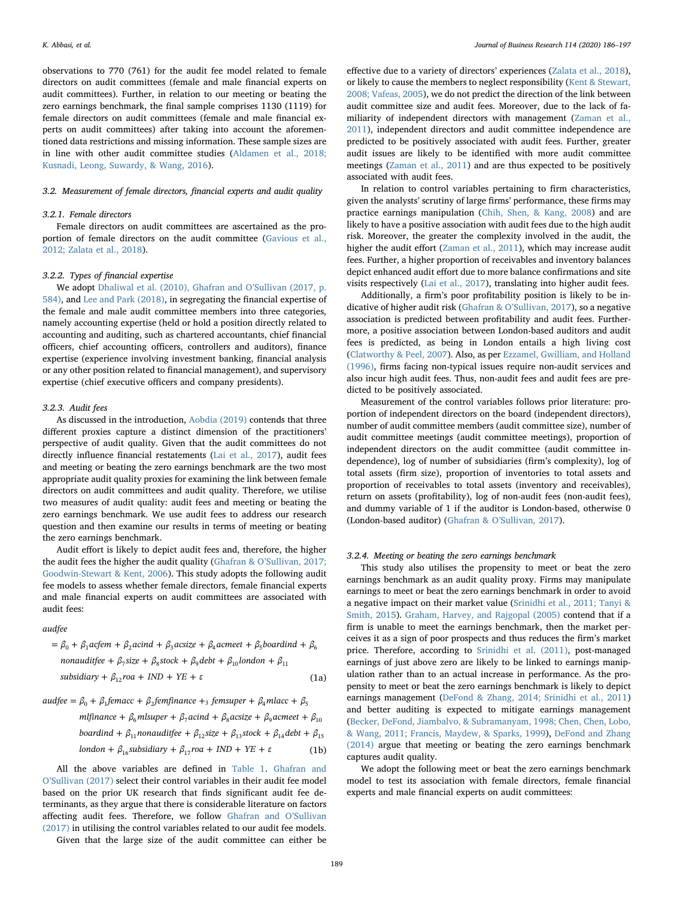observations to 770 (761) for the audit fee model related to female directors on audit committees (female and male financial experts on audit committees). Further, in relation to our meeting or beating the zero earnings benchmark, the final sample comprises 1130 (1119) for female directors on audit committees (female and male financial experts on audit committees) after taking into account the aforementioned data restrictions and missing information. These sample sizes are in line with other audit committee studies [\(Aldamen et al., 2018;](#page-10-0) [Kusnadi, Leong, Suwardy, & Wang, 2016\)](#page-10-0).

# 3.2. Measurement of female directors, financial experts and audit quality

# 3.2.1. Female directors

Female directors on audit committees are ascertained as the proportion of female directors on the audit committee [\(Gavious et al.,](#page-10-21) [2012; Zalata et al., 2018\)](#page-10-21).

# 3.2.2. Types of financial expertise

We adopt [Dhaliwal et al. \(2010\), Ghafran and O](#page-10-1)'Sullivan (2017, p. [584\)](#page-10-1), and [Lee and Park \(2018\)](#page-10-29), in segregating the financial expertise of the female and male audit committee members into three categories, namely accounting expertise (held or hold a position directly related to accounting and auditing, such as chartered accountants, chief financial officers, chief accounting officers, controllers and auditors), finance expertise (experience involving investment banking, financial analysis or any other position related to financial management), and supervisory expertise (chief executive officers and company presidents).

#### 3.2.3. Audit fees

As discussed in the introduction, [Aobdia \(2019\)](#page-10-5) contends that three different proxies capture a distinct dimension of the practitioners' perspective of audit quality. Given that the audit committees do not directly influence financial restatements ([Lai et al., 2017\)](#page-10-6), audit fees and meeting or beating the zero earnings benchmark are the two most appropriate audit quality proxies for examining the link between female directors on audit committees and audit quality. Therefore, we utilise two measures of audit quality: audit fees and meeting or beating the zero earnings benchmark. We use audit fees to address our research question and then examine our results in terms of meeting or beating the zero earnings benchmark.

Audit effort is likely to depict audit fees and, therefore, the higher the audit fees the higher the audit quality (Ghafran & O'[Sullivan, 2017;](#page-10-12) [Goodwin-Stewart & Kent, 2006](#page-10-12)). This study adopts the following audit fee models to assess whether female directors, female financial experts and male financial experts on audit committees are associated with audit fees:

# *audfee*

$$
= \beta_0 + \beta_1 \text{acfem} + \beta_2 \text{acind} + \beta_3 \text{acsize} + \beta_4 \text{acmeet} + \beta_5 \text{boardind} + \beta_6
$$
  
nonaudiffee +  $\beta_7 \text{size} + \beta_8 \text{stock} + \beta_9 \text{debt} + \beta_{10} \text{London} + \beta_{11}$   
subsidiary +  $\beta_{12} \text{roa} + \text{IND} + \text{YE} + \varepsilon$  (1a)

$$
audfee = \beta_0 + \beta_1 femacc + \beta_2 femfinance +_3 femsuper + \beta_4 mlace + \beta_5
$$

$$
mIf inance + \beta_6 mlsuper + \beta_7 acind + \beta_8 acsize + \beta_9 acmeet + \beta_{10}
$$
  
boardind +  $\beta_{11}$  nonaudiflee +  $\beta_{12}$  size +  $\beta_{13}$  stock +  $\beta_{14}$  debt +  $\beta_{15}$ 

$$
lon don + \beta_{16} \text{subsidiary} + \beta_{17} \text{roa} + \text{IND} + \text{YE} + \varepsilon \tag{1b}
$$

All the above variables are defined in [Table 1](#page-4-1). [Ghafran and](#page-10-12) O'[Sullivan \(2017\)](#page-10-12) select their control variables in their audit fee model based on the prior UK research that finds significant audit fee determinants, as they argue that there is considerable literature on factors affecting audit fees. Therefore, we follow [Ghafran and O](#page-10-12)'Sullivan [\(2017\)](#page-10-12) in utilising the control variables related to our audit fee models.

K. Abbasi, et al. *Journal of Business Research 114 (2020) 186–197*

effective due to a variety of directors' experiences [\(Zalata et al., 2018](#page-11-5)), or likely to cause the members to neglect responsibility [\(Kent & Stewart,](#page-10-36) [2008; Vafeas, 2005\)](#page-10-36), we do not predict the direction of the link between audit committee size and audit fees. Moreover, due to the lack of familiarity of independent directors with management ([Zaman et al.,](#page-11-8) [2011\)](#page-11-8), independent directors and audit committee independence are predicted to be positively associated with audit fees. Further, greater audit issues are likely to be identified with more audit committee meetings [\(Zaman et al., 2011](#page-11-8)) and are thus expected to be positively associated with audit fees.

In relation to control variables pertaining to firm characteristics, given the analysts' scrutiny of large firms' performance, these firms may practice earnings manipulation [\(Chih, Shen, & Kang, 2008\)](#page-10-37) and are likely to have a positive association with audit fees due to the high audit risk. Moreover, the greater the complexity involved in the audit, the higher the audit effort [\(Zaman et al., 2011\)](#page-11-8), which may increase audit fees. Further, a higher proportion of receivables and inventory balances depict enhanced audit effort due to more balance confirmations and site visits respectively [\(Lai et al., 2017](#page-10-6)), translating into higher audit fees.

Additionally, a firm's poor profitability position is likely to be indicative of higher audit risk (Ghafran & O'[Sullivan, 2017\)](#page-10-12), so a negative association is predicted between profitability and audit fees. Furthermore, a positive association between London-based auditors and audit fees is predicted, as being in London entails a high living cost ([Clatworthy & Peel, 2007](#page-10-38)). Also, as per [Ezzamel, Gwilliam, and Holland](#page-10-39) [\(1996\),](#page-10-39) firms facing non-typical issues require non-audit services and also incur high audit fees. Thus, non-audit fees and audit fees are predicted to be positively associated.

Measurement of the control variables follows prior literature: proportion of independent directors on the board (independent directors), number of audit committee members (audit committee size), number of audit committee meetings (audit committee meetings), proportion of independent directors on the audit committee (audit committee independence), log of number of subsidiaries (firm's complexity), log of total assets (firm size), proportion of inventories to total assets and proportion of receivables to total assets (inventory and receivables), return on assets (profitability), log of non-audit fees (non-audit fees), and dummy variable of 1 if the auditor is London-based, otherwise 0 (London-based auditor) (Ghafran & O'[Sullivan, 2017](#page-10-12)).

### 3.2.4. Meeting or beating the zero earnings benchmark

This study also utilises the propensity to meet or beat the zero earnings benchmark as an audit quality proxy. Firms may manipulate earnings to meet or beat the zero earnings benchmark in order to avoid a negative impact on their market value [\(Srinidhi et al., 2011; Tanyi &](#page-11-0) [Smith, 2015](#page-11-0)). [Graham, Harvey, and Rajgopal \(2005\)](#page-10-40) contend that if a firm is unable to meet the earnings benchmark, then the market perceives it as a sign of poor prospects and thus reduces the firm's market price. Therefore, according to [Srinidhi et al. \(2011\),](#page-11-0) post-managed earnings of just above zero are likely to be linked to earnings manipulation rather than to an actual increase in performance. As the propensity to meet or beat the zero earnings benchmark is likely to depict earnings management [\(DeFond & Zhang, 2014; Srinidhi et al., 2011\)](#page-10-41) and better auditing is expected to mitigate earnings management ([Becker, DeFond, Jiambalvo, & Subramanyam, 1998; Chen, Chen, Lobo,](#page-10-42) [& Wang, 2011; Francis, Maydew, & Sparks, 1999](#page-10-42)), [DeFond and Zhang](#page-10-41) [\(2014\)](#page-10-41) argue that meeting or beating the zero earnings benchmark captures audit quality.

We adopt the following meet or beat the zero earnings benchmark model to test its association with female directors, female financial experts and male financial experts on audit committees:

Given that the large size of the audit committee can either be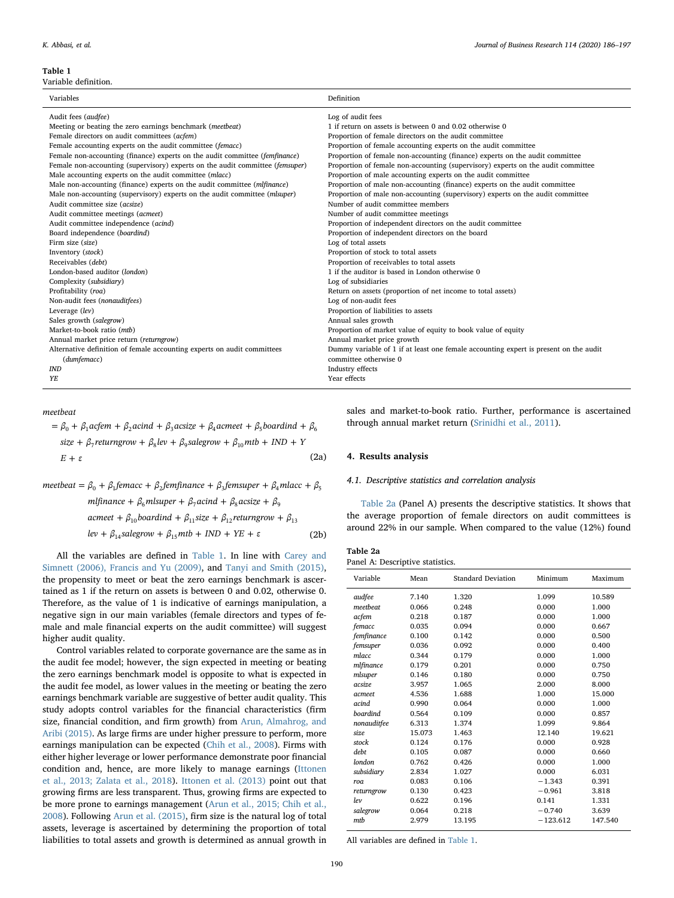#### <span id="page-4-1"></span>Table 1

Variable definition.

| Variables                                                                     | Definition                                                                           |
|-------------------------------------------------------------------------------|--------------------------------------------------------------------------------------|
| Audit fees (audfee)                                                           | Log of audit fees                                                                    |
| Meeting or beating the zero earnings benchmark (meetbeat)                     | 1 if return on assets is between 0 and 0.02 otherwise 0                              |
| Female directors on audit committees (acfem)                                  | Proportion of female directors on the audit committee                                |
| Female accounting experts on the audit committee (femacc)                     | Proportion of female accounting experts on the audit committee                       |
| Female non-accounting (finance) experts on the audit committee (femfinance)   | Proportion of female non-accounting (finance) experts on the audit committee         |
| Female non-accounting (supervisory) experts on the audit committee (femsuper) | Proportion of female non-accounting (supervisory) experts on the audit committee     |
| Male accounting experts on the audit committee (mlacc)                        | Proportion of male accounting experts on the audit committee                         |
| Male non-accounting (finance) experts on the audit committee (mlfinance)      | Proportion of male non-accounting (finance) experts on the audit committee           |
| Male non-accounting (supervisory) experts on the audit committee (mlsuper)    | Proportion of male non-accounting (supervisory) experts on the audit committee       |
| Audit committee size (acsize)                                                 | Number of audit committee members                                                    |
| Audit committee meetings (acmeet)                                             | Number of audit committee meetings                                                   |
| Audit committee independence (acind)                                          | Proportion of independent directors on the audit committee                           |
| Board independence (boardind)                                                 | Proportion of independent directors on the board                                     |
| Firm size (size)                                                              | Log of total assets                                                                  |
| Inventory (stock)                                                             | Proportion of stock to total assets                                                  |
| Receivables (debt)                                                            | Proportion of receivables to total assets                                            |
| London-based auditor (london)                                                 | 1 if the auditor is based in London otherwise 0                                      |
| Complexity (subsidiary)                                                       | Log of subsidiaries                                                                  |
| Profitability (roa)                                                           | Return on assets (proportion of net income to total assets)                          |
| Non-audit fees (nonauditfees)                                                 | Log of non-audit fees                                                                |
| Leverage (lev)                                                                | Proportion of liabilities to assets                                                  |
| Sales growth (salegrow)                                                       | Annual sales growth                                                                  |
| Market-to-book ratio (mtb)                                                    | Proportion of market value of equity to book value of equity                         |
| Annual market price return (returngrow)                                       | Annual market price growth                                                           |
| Alternative definition of female accounting experts on audit committees       | Dummy variable of 1 if at least one female accounting expert is present on the audit |
| (dumfemacc)                                                                   | committee otherwise 0                                                                |
| <b>IND</b>                                                                    | Industry effects                                                                     |
| YF.                                                                           | Year effects                                                                         |

*meetbeat*

$$
= \beta_0 + \beta_1 \text{acfem} + \beta_2 \text{acind} + \beta_3 \text{acsize} + \beta_4 \text{acmeet} + \beta_5 \text{boardind} + \beta_6
$$
  
*size* +  $\beta_7$ *returngrow* +  $\beta_8$ *lev* +  $\beta_9$ *salegrow* +  $\beta_{10}$ *mtb* + *IND* + *Y*  
*E* +  $\varepsilon$  (2a)

$$
meetbeat = \beta_0 + \beta_1 femacc + \beta_2 femfinance + \beta_3 femsuper + \beta_4 mlace + \beta_5
$$
  
\n
$$
mIf inance + \beta_6 mlsuper + \beta_7 acind + \beta_8 acsize + \beta_9
$$
  
\n
$$
aemeet + \beta_{10} boardind + \beta_{11} size + \beta_{12} return grow + \beta_{13}
$$
  
\n
$$
lev + \beta_{14} salegrow + \beta_{15} mtb + IND + YE + \varepsilon
$$
 (2b)

All the variables are defined in [Table 1.](#page-4-1) In line with [Carey and](#page-10-43) [Simnett \(2006\), Francis and Yu \(2009\)](#page-10-43), and [Tanyi and Smith \(2015\)](#page-11-9), the propensity to meet or beat the zero earnings benchmark is ascertained as 1 if the return on assets is between 0 and 0.02, otherwise 0. Therefore, as the value of 1 is indicative of earnings manipulation, a negative sign in our main variables (female directors and types of female and male financial experts on the audit committee) will suggest higher audit quality.

Control variables related to corporate governance are the same as in the audit fee model; however, the sign expected in meeting or beating the zero earnings benchmark model is opposite to what is expected in the audit fee model, as lower values in the meeting or beating the zero earnings benchmark variable are suggestive of better audit quality. This study adopts control variables for the financial characteristics (firm size, financial condition, and firm growth) from [Arun, Almahrog, and](#page-10-44) [Aribi \(2015\)](#page-10-44). As large firms are under higher pressure to perform, more earnings manipulation can be expected ([Chih et al., 2008](#page-10-37)). Firms with either higher leverage or lower performance demonstrate poor financial condition and, hence, are more likely to manage earnings [\(Ittonen](#page-10-45) [et al., 2013; Zalata et al., 2018](#page-10-45)). [Ittonen et al. \(2013\)](#page-10-45) point out that growing firms are less transparent. Thus, growing firms are expected to be more prone to earnings management ([Arun et al., 2015; Chih et al.,](#page-10-44) [2008\)](#page-10-44). Following [Arun et al. \(2015\)](#page-10-44), firm size is the natural log of total assets, leverage is ascertained by determining the proportion of total liabilities to total assets and growth is determined as annual growth in

sales and market-to-book ratio. Further, performance is ascertained through annual market return [\(Srinidhi et al., 2011\)](#page-11-0).

# <span id="page-4-0"></span>4. Results analysis

### 4.1. Descriptive statistics and correlation analysis

[Table 2a](#page-4-2) (Panel A) presents the descriptive statistics. It shows that the average proportion of female directors on audit committees is around 22% in our sample. When compared to the value (12%) found

<span id="page-4-2"></span>

| Table 2a |  |  |
|----------|--|--|
|          |  |  |

|  |  | Panel A: Descriptive statistics. |  |
|--|--|----------------------------------|--|
|--|--|----------------------------------|--|

| Variable    | Mean   | <b>Standard Deviation</b> | Minimum    | Maximum |
|-------------|--------|---------------------------|------------|---------|
| audfee      | 7.140  | 1.320                     | 1.099      | 10.589  |
| meetbeat    | 0.066  | 0.248                     | 0.000      | 1.000   |
| acfem       | 0.218  | 0.187                     | 0.000      | 1.000   |
| femacc      | 0.035  | 0.094                     | 0.000      | 0.667   |
| femfinance  | 0.100  | 0.142                     | 0.000      | 0.500   |
| femsuper    | 0.036  | 0.092                     | 0.000      | 0.400   |
| mlacc       | 0.344  | 0.179                     | 0.000      | 1.000   |
| mlfinance   | 0.179  | 0.201                     | 0.000      | 0.750   |
| mlsuper     | 0.146  | 0.180                     | 0.000      | 0.750   |
| acsize      | 3.957  | 1.065                     | 2.000      | 8.000   |
| acmeet      | 4.536  | 1.688                     | 1.000      | 15.000  |
| acind       | 0.990  | 0.064                     | 0.000      | 1.000   |
| boardind    | 0.564  | 0.109                     | 0.000      | 0.857   |
| nonauditfee | 6.313  | 1.374                     | 1.099      | 9.864   |
| size.       | 15.073 | 1.463                     | 12.140     | 19.621  |
| stock       | 0.124  | 0.176                     | 0.000      | 0.928   |
| debt        | 0.105  | 0.087                     | 0.000      | 0.660   |
| london      | 0.762  | 0.426                     | 0.000      | 1.000   |
| subsidiary  | 2.834  | 1.027                     | 0.000      | 6.031   |
| roa         | 0.083  | 0.106                     | $-1.343$   | 0.391   |
| returngrow  | 0.130  | 0.423                     | $-0.961$   | 3.818   |
| lev         | 0.622  | 0.196                     | 0.141      | 1.331   |
| salegrow    | 0.064  | 0.218                     | $-0.740$   | 3.639   |
| mtb         | 2.979  | 13.195                    | $-123.612$ | 147.540 |
|             |        |                           |            |         |

All variables are defined in [Table 1](#page-4-1).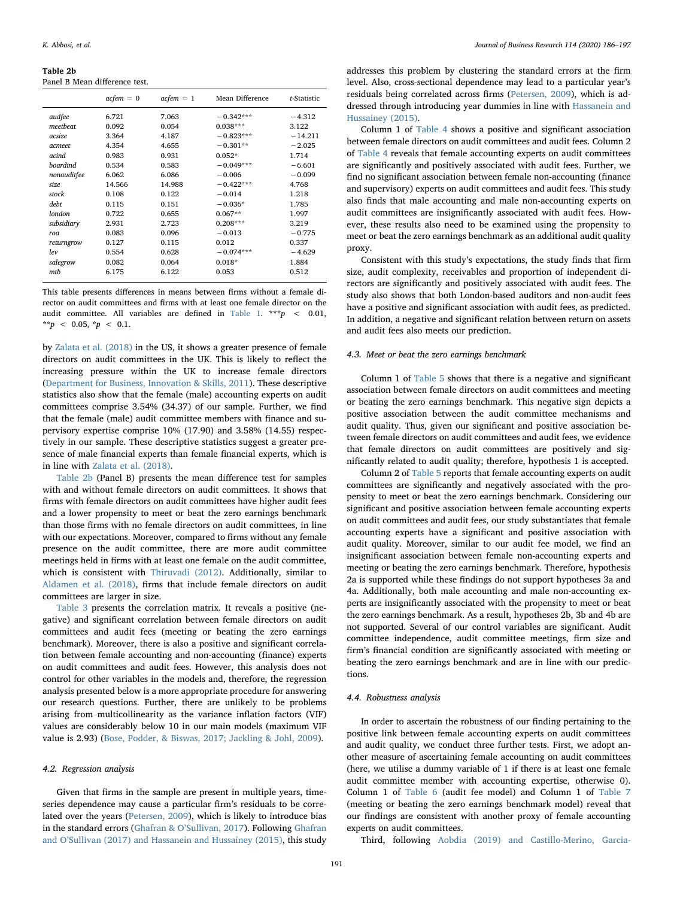<span id="page-5-0"></span>Table 2b Panel B Mean difference test.

|             | $acfem = 0$ | $acfem = 1$ | Mean Difference | t-Statistic |
|-------------|-------------|-------------|-----------------|-------------|
| audfee      | 6.721       | 7.063       | $-0.342***$     | $-4.312$    |
| meetbeat    | 0.092       | 0.054       | $0.038***$      | 3.122       |
| acsize      | 3.364       | 4.187       | $-0.823***$     | $-14.211$   |
| acmeet      | 4.354       | 4.655       | $-0.301**$      | $-2.025$    |
| acind       | 0.983       | 0.931       | $0.052*$        | 1.714       |
| boardind    | 0.534       | 0.583       | $-0.049***$     | $-6.601$    |
| nonauditfee | 6.062       | 6.086       | $-0.006$        | $-0.099$    |
| size        | 14.566      | 14.988      | $-0.422***$     | 4.768       |
| stock       | 0.108       | 0.122       | $-0.014$        | 1.218       |
| debt        | 0.115       | 0.151       | $-0.036*$       | 1.785       |
| london      | 0.722       | 0.655       | $0.067**$       | 1.997       |
| subsidiary  | 2.931       | 2.723       | $0.208***$      | 3.219       |
| roa         | 0.083       | 0.096       | $-0.013$        | $-0.775$    |
| returngrow  | 0.127       | 0.115       | 0.012           | 0.337       |
| lev         | 0.554       | 0.628       | $-0.074***$     | $-4.629$    |
| salegrow    | 0.082       | 0.064       | $0.018*$        | 1.884       |
| mtb         | 6.175       | 6.122       | 0.053           | 0.512       |

This table presents differences in means between firms without a female director on audit committees and firms with at least one female director on the audit committee. All variables are defined in [Table 1.](#page-4-1) \*\*\*  $p \leq 0.01$ , \*\*p < 0.05, \*p < 0.1.

by [Zalata et al. \(2018\)](#page-11-5) in the US, it shows a greater presence of female directors on audit committees in the UK. This is likely to reflect the increasing pressure within the UK to increase female directors ([Department for Business, Innovation & Skills, 2011](#page-10-46)). These descriptive statistics also show that the female (male) accounting experts on audit committees comprise 3.54% (34.37) of our sample. Further, we find that the female (male) audit committee members with finance and supervisory expertise comprise 10% (17.90) and 3.58% (14.55) respectively in our sample. These descriptive statistics suggest a greater presence of male financial experts than female financial experts, which is in line with [Zalata et al. \(2018\).](#page-11-5)

[Table 2b](#page-5-0) (Panel B) presents the mean difference test for samples with and without female directors on audit committees. It shows that firms with female directors on audit committees have higher audit fees and a lower propensity to meet or beat the zero earnings benchmark than those firms with no female directors on audit committees, in line with our expectations. Moreover, compared to firms without any female presence on the audit committee, there are more audit committee meetings held in firms with at least one female on the audit committee, which is consistent with [Thiruvadi \(2012\)](#page-11-10). Additionally, similar to [Aldamen et al. \(2018\),](#page-10-0) firms that include female directors on audit committees are larger in size.

[Table 3](#page-6-0) presents the correlation matrix. It reveals a positive (negative) and significant correlation between female directors on audit committees and audit fees (meeting or beating the zero earnings benchmark). Moreover, there is also a positive and significant correlation between female accounting and non-accounting (finance) experts on audit committees and audit fees. However, this analysis does not control for other variables in the models and, therefore, the regression analysis presented below is a more appropriate procedure for answering our research questions. Further, there are unlikely to be problems arising from multicollinearity as the variance inflation factors (VIF) values are considerably below 10 in our main models (maximum VIF value is 2.93) ([Bose, Podder, & Biswas, 2017; Jackling & Johl, 2009\)](#page-10-47).

# 4.2. Regression analysis

Given that firms in the sample are present in multiple years, timeseries dependence may cause a particular firm's residuals to be correlated over the years ([Petersen, 2009](#page-10-48)), which is likely to introduce bias in the standard errors (Ghafran & O'[Sullivan, 2017\)](#page-10-12). Following [Ghafran](#page-10-12) and O'[Sullivan \(2017\) and Hassanein and Hussainey \(2015\),](#page-10-12) this study

addresses this problem by clustering the standard errors at the firm level. Also, cross-sectional dependence may lead to a particular year's residuals being correlated across firms ([Petersen, 2009\)](#page-10-48), which is addressed through introducing year dummies in line with [Hassanein and](#page-10-49) [Hussainey \(2015\)](#page-10-49).

Column 1 of [Table 4](#page-7-0) shows a positive and significant association between female directors on audit committees and audit fees. Column 2 of [Table 4](#page-7-0) reveals that female accounting experts on audit committees are significantly and positively associated with audit fees. Further, we find no significant association between female non-accounting (finance and supervisory) experts on audit committees and audit fees. This study also finds that male accounting and male non-accounting experts on audit committees are insignificantly associated with audit fees. However, these results also need to be examined using the propensity to meet or beat the zero earnings benchmark as an additional audit quality proxy.

Consistent with this study's expectations, the study finds that firm size, audit complexity, receivables and proportion of independent directors are significantly and positively associated with audit fees. The study also shows that both London-based auditors and non-audit fees have a positive and significant association with audit fees, as predicted. In addition, a negative and significant relation between return on assets and audit fees also meets our prediction.

# 4.3. Meet or beat the zero earnings benchmark

Column 1 of [Table 5](#page-7-1) shows that there is a negative and significant association between female directors on audit committees and meeting or beating the zero earnings benchmark. This negative sign depicts a positive association between the audit committee mechanisms and audit quality. Thus, given our significant and positive association between female directors on audit committees and audit fees, we evidence that female directors on audit committees are positively and significantly related to audit quality; therefore, hypothesis 1 is accepted.

Column 2 of [Table 5](#page-7-1) reports that female accounting experts on audit committees are significantly and negatively associated with the propensity to meet or beat the zero earnings benchmark. Considering our significant and positive association between female accounting experts on audit committees and audit fees, our study substantiates that female accounting experts have a significant and positive association with audit quality. Moreover, similar to our audit fee model, we find an insignificant association between female non-accounting experts and meeting or beating the zero earnings benchmark. Therefore, hypothesis 2a is supported while these findings do not support hypotheses 3a and 4a. Additionally, both male accounting and male non-accounting experts are insignificantly associated with the propensity to meet or beat the zero earnings benchmark. As a result, hypotheses 2b, 3b and 4b are not supported. Several of our control variables are significant. Audit committee independence, audit committee meetings, firm size and firm's financial condition are significantly associated with meeting or beating the zero earnings benchmark and are in line with our predictions.

# 4.4. Robustness analysis

In order to ascertain the robustness of our finding pertaining to the positive link between female accounting experts on audit committees and audit quality, we conduct three further tests. First, we adopt another measure of ascertaining female accounting on audit committees (here, we utilise a dummy variable of 1 if there is at least one female audit committee member with accounting expertise, otherwise 0). Column 1 of [Table 6](#page-8-1) (audit fee model) and Column 1 of [Table 7](#page-8-2) (meeting or beating the zero earnings benchmark model) reveal that our findings are consistent with another proxy of female accounting experts on audit committees.

Third, following [Aobdia \(2019\) and Castillo-Merino, Garcia-](#page-10-5)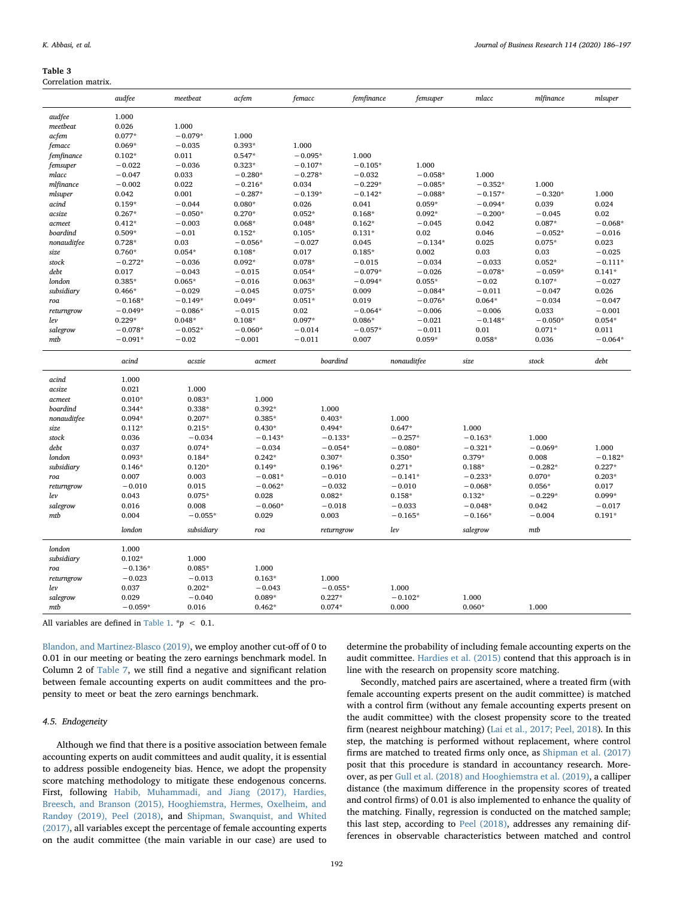<span id="page-6-0"></span>

| Table |  |  |  |  |
|-------|--|--|--|--|
|       |  |  |  |  |

| Correlation matrix. |           |            |                  |            |            |             |           |           |           |
|---------------------|-----------|------------|------------------|------------|------------|-------------|-----------|-----------|-----------|
|                     | audfee    | meetbeat   | acfem            | femacc     | femfinance | femsuper    | mlacc     | mlfinance | mlsuper   |
| audfee              | 1.000     |            |                  |            |            |             |           |           |           |
| meetbeat            | 0.026     | 1.000      |                  |            |            |             |           |           |           |
| acfem               | $0.077*$  | $-0.079*$  | 1.000            |            |            |             |           |           |           |
| femacc              | $0.069*$  | $-0.035$   | $0.393*$         | 1.000      |            |             |           |           |           |
| femfinance          | $0.102*$  | 0.011      | $0.547*$         | $-0.095*$  | 1.000      |             |           |           |           |
| femsuper            | $-0.022$  | $-0.036$   | $0.323*$         | $-0.107*$  | $-0.105*$  | 1.000       |           |           |           |
| mlacc               | $-0.047$  | 0.033      | $-0.280*$        | $-0.278*$  | $-0.032$   | $-0.058*$   | 1.000     |           |           |
| mlfinance           | $-0.002$  | 0.022      | $-0.216*$        | 0.034      | $-0.229*$  | $-0.085*$   | $-0.352*$ | 1.000     |           |
| mlsuper             | 0.042     | 0.001      | $-0.287*$        | $-0.139*$  | $-0.142*$  | $-0.088*$   | $-0.157*$ | $-0.320*$ | 1.000     |
| acind               | $0.159*$  | $-0.044$   | $0.080*$         | 0.026      | 0.041      | $0.059*$    | $-0.094*$ | 0.039     | 0.024     |
| acsize              | $0.267*$  | $-0.050*$  | $0.270*$         | $0.052*$   | $0.168*$   | $0.092*$    | $-0.200*$ | $-0.045$  | 0.02      |
|                     | $0.412*$  | $-0.003$   | $0.068*$         | $0.048*$   | $0.162*$   | $-0.045$    | 0.042     | $0.087*$  | $-0.068*$ |
| acmeet<br>boardind  | $0.509*$  | $-0.01$    | $0.152*$         | $0.105*$   | $0.131*$   | 0.02        | 0.046     | $-0.052*$ | $-0.016$  |
|                     | $0.728*$  | 0.03       | $-0.056*$        | $-0.027$   | 0.045      | $-0.134*$   | 0.025     | $0.075*$  | 0.023     |
| nonauditfee         |           |            |                  |            |            |             |           |           |           |
| size                | $0.760*$  | $0.054*$   | $0.108*$         | 0.017      | $0.185*$   | 0.002       | 0.03      | 0.03      | $-0.025$  |
| stock               | $-0.272*$ | $-0.036$   | $0.092*$         | $0.078*$   | $-0.015$   | $-0.034$    | $-0.033$  | $0.052*$  | $-0.111*$ |
| debt                | 0.017     | $-0.043$   | $-0.015$         | $0.054*$   | $-0.079*$  | $-0.026$    | $-0.078*$ | $-0.059*$ | $0.141*$  |
| london              | $0.385*$  | $0.065*$   | $-0.016$         | $0.063*$   | $-0.094*$  | $0.055*$    | $-0.02$   | $0.107*$  | $-0.027$  |
| subsidiary          | $0.466*$  | $-0.029$   | $-0.045$         | $0.075*$   | 0.009      | $-0.084*$   | $-0.011$  | $-0.047$  | 0.026     |
| $_{roa}$            | $-0.168*$ | $-0.149*$  | $0.049*$         | $0.051*$   | 0.019      | $-0.076*$   | $0.064*$  | $-0.034$  | $-0.047$  |
| returngrow          | $-0.049*$ | $-0.086*$  | $-0.015$         | 0.02       | $-0.064*$  | $-0.006$    | $-0.006$  | 0.033     | $-0.001$  |
| lev                 | $0.229*$  | $0.048*$   | $0.108*$         | $0.097*$   | $0.086*$   | $-0.021$    | $-0.148*$ | $-0.050*$ | $0.054*$  |
| salegrow            | $-0.078*$ | $-0.052*$  | $-0.060*$        | $-0.014$   | $-0.057*$  | $-0.011$    | 0.01      | $0.071*$  | 0.011     |
| mtb                 | $-0.091*$ | $-0.02$    | $-0.001$         | $-0.011$   | 0.007      | $0.059*$    | $0.058*$  | 0.036     | $-0.064*$ |
|                     |           |            |                  |            |            |             |           |           |           |
|                     | acind     | acszie     | $a$ <i>cmeet</i> | boardind   |            | nonauditfee | size      | stock     | debt      |
|                     |           |            |                  |            |            |             |           |           |           |
| acind               | 1.000     |            |                  |            |            |             |           |           |           |
| acsize              | 0.021     | 1.000      |                  |            |            |             |           |           |           |
| acmeet              | $0.010*$  | $0.083*$   | 1.000            |            |            |             |           |           |           |
| boardind            | $0.344*$  | $0.338*$   | $0.392*$         | 1.000      |            |             |           |           |           |
| nonauditfee         | $0.094*$  | $0.207*$   | $0.385*$         | $0.403*$   |            | 1.000       |           |           |           |
| size                | $0.112*$  | $0.215*$   | $0.430*$         | $0.494*$   |            | $0.647*$    | 1.000     |           |           |
| stock               | 0.036     | $-0.034$   | $-0.143*$        | $-0.133*$  |            | $-0.257*$   | $-0.163*$ | 1.000     |           |
| debt                | 0.037     | $0.074*$   | $-0.034$         | $-0.054*$  |            | $-0.080*$   | $-0.321*$ | $-0.069*$ | 1.000     |
| london              | $0.093*$  | $0.184*$   | $0.242*$         | $0.307*$   |            | $0.350*$    | $0.379*$  | 0.008     | $-0.182*$ |
| subsidiary          | $0.146*$  | $0.120*$   | $0.149*$         | $0.196*$   |            | $0.271*$    | $0.188*$  | $-0.282*$ | $0.227*$  |
| roa                 | 0.007     | 0.003      | $-0.081*$        | $-0.010$   |            | $-0.141*$   | $-0.233*$ | $0.070*$  | $0.203*$  |
| returngrow          | $-0.010$  | 0.015      | $-0.062*$        | $-0.032$   |            | $-0.010$    | $-0.068*$ | $0.056*$  | 0.017     |
| lev                 | 0.043     | $0.075*$   | 0.028            | $0.082*$   |            | $0.158*$    | $0.132*$  | $-0.229*$ | $0.099*$  |
| $\emph{sales}$      | 0.016     | 0.008      | $-0.060*$        | $-0.018$   |            | $-0.033$    | $-0.048*$ | 0.042     | $-0.017$  |
| mtb                 | 0.004     | $-0.055*$  | 0.029            | 0.003      |            | $-0.165*$   | $-0.166*$ | $-0.004$  | $0.191*$  |
|                     | london    | subsidiary | roa              | returngrow |            | lev         | salegrow  | mtb       |           |
| london              | 1.000     |            |                  |            |            |             |           |           |           |
| subsidiary          | $0.102*$  | 1.000      |                  |            |            |             |           |           |           |
| $_{roa}$            | $-0.136*$ | $0.085*$   | 1.000            |            |            |             |           |           |           |
|                     | $-0.023$  | $-0.013$   | $0.163*$         | 1.000      |            |             |           |           |           |
| returngrow<br>lev   | 0.037     | $0.202*$   | $-0.043$         | $-0.055*$  |            | 1.000       |           |           |           |
| salegrow            | 0.029     | $-0.040$   | $0.089*$         | $0.227*$   |            | $-0.102*$   | 1.000     |           |           |

All variables are defined in [Table 1](#page-4-1).  $np < 0.1$ .

[Blandon, and Martinez-Blasco \(2019\)](#page-10-5), we employ another cut-off of 0 to 0.01 in our meeting or beating the zero earnings benchmark model. In Column 2 of [Table 7](#page-8-2), we still find a negative and significant relation between female accounting experts on audit committees and the propensity to meet or beat the zero earnings benchmark.

# 4.5. Endogeneity

Although we find that there is a positive association between female accounting experts on audit committees and audit quality, it is essential to address possible endogeneity bias. Hence, we adopt the propensity score matching methodology to mitigate these endogenous concerns. First, following [Habib, Muhammadi, and Jiang \(2017\), Hardies,](#page-10-50) [Breesch, and Branson \(2015\), Hooghiemstra, Hermes, Oxelheim, and](#page-10-50) [Randøy \(2019\), Peel \(2018\)](#page-10-50), and [Shipman, Swanquist, and Whited](#page-11-11) [\(2017\),](#page-11-11) all variables except the percentage of female accounting experts on the audit committee (the main variable in our case) are used to

determine the probability of including female accounting experts on the audit committee. [Hardies et al. \(2015\)](#page-10-51) contend that this approach is in line with the research on propensity score matching.

Secondly, matched pairs are ascertained, where a treated firm (with female accounting experts present on the audit committee) is matched with a control firm (without any female accounting experts present on the audit committee) with the closest propensity score to the treated firm (nearest neighbour matching) ([Lai et al., 2017; Peel, 2018\)](#page-10-6). In this step, the matching is performed without replacement, where control firms are matched to treated firms only once, as [Shipman et al. \(2017\)](#page-11-11) posit that this procedure is standard in accountancy research. Moreover, as per [Gull et al. \(2018\) and Hooghiemstra et al. \(2019\),](#page-10-52) a calliper distance (the maximum difference in the propensity scores of treated and control firms) of 0.01 is also implemented to enhance the quality of the matching. Finally, regression is conducted on the matched sample; this last step, according to [Peel \(2018\)](#page-10-53), addresses any remaining differences in observable characteristics between matched and control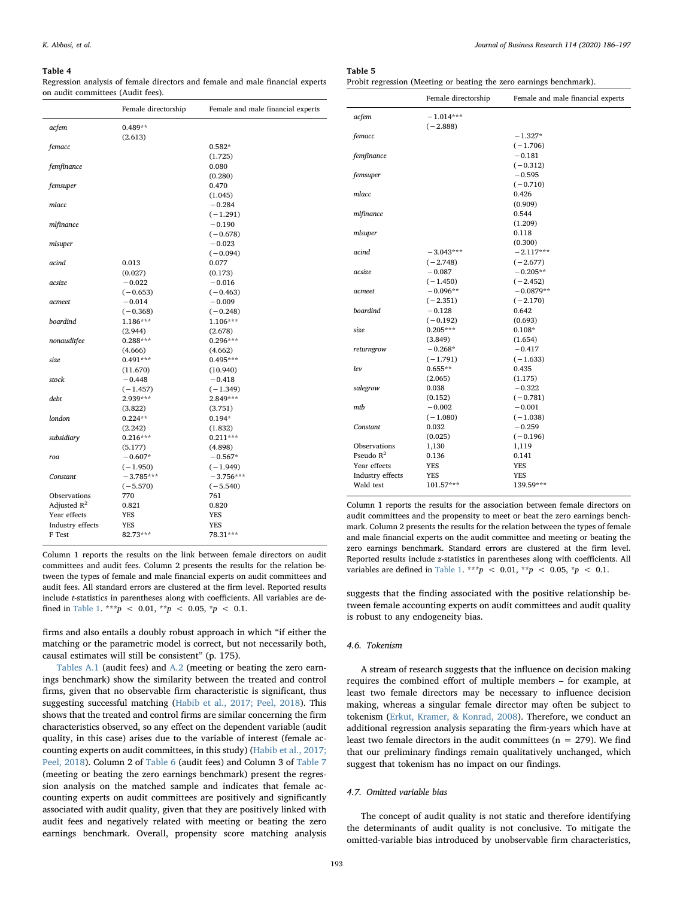#### <span id="page-7-0"></span>Table 4

Regression analysis of female directors and female and male financial experts on audit committees (Audit fees).

|                  | Female directorship | Female and male financial experts |
|------------------|---------------------|-----------------------------------|
| acfem            | $0.489**$           |                                   |
|                  | (2.613)             |                                   |
| femacc           |                     | $0.582*$                          |
|                  |                     | (1.725)                           |
| femfinance       |                     | 0.080                             |
|                  |                     | (0.280)                           |
| femsuper         |                     | 0.470                             |
|                  |                     | (1.045)                           |
| mlacc            |                     | $-0.284$                          |
|                  |                     | $(-1.291)$                        |
| mlfinance        |                     | $-0.190$                          |
|                  |                     | $(-0.678)$                        |
| mlsuper          |                     | $-0.023$                          |
|                  |                     | $(-0.094)$                        |
| acind            | 0.013               | 0.077                             |
|                  | (0.027)             | (0.173)                           |
| acsize           | $-0.022$            | $-0.016$                          |
|                  | $(-0.653)$          | $(-0.463)$                        |
| acmeet           | $-0.014$            | $-0.009$                          |
|                  | $(-0.368)$          | $(-0.248)$                        |
| boardind         | 1.186***            | 1.106***                          |
|                  | (2.944)             | (2.678)                           |
| nonauditfee      | $0.288***$          | $0.296***$                        |
|                  | (4.666)             | (4.662)                           |
| size             | $0.491***$          | $0.495***$                        |
|                  | (11.670)            | (10.940)                          |
| stock            | $-0.448$            | $-0.418$                          |
|                  | $(-1.457)$          | $(-1.349)$                        |
| debt             | 2.939***            | 2.849***                          |
|                  | (3.822)             | (3.751)                           |
| london           | $0.224**$           | $0.194*$                          |
|                  | (2.242)             | (1.832)                           |
| subsidiary       | $0.216***$          | $0.211***$                        |
|                  | (5.177)             | (4.898)                           |
| roa              | $-0.607*$           | $-0.567*$                         |
|                  | $(-1.950)$          | $(-1.949)$                        |
| Constant         | $-3.785***$         | $-3.756***$                       |
|                  | $(-5.570)$          | $(-5.540)$                        |
| Observations     | 770                 | 761                               |
| Adjusted $R^2$   | 0.821               | 0.820                             |
| Year effects     | YES                 | YES                               |
| Industry effects | YES                 | YES                               |
| F Test           | 82.73***            | 78.31***                          |

Column 1 reports the results on the link between female directors on audit committees and audit fees. Column 2 presents the results for the relation between the types of female and male financial experts on audit committees and audit fees. All standard errors are clustered at the firm level. Reported results include t-statistics in parentheses along with coefficients. All variables are de-fined in [Table 1.](#page-4-1) \*\*\*p < 0.01, \*\*p < 0.05, \*p < 0.1.

firms and also entails a doubly robust approach in which "if either the matching or the parametric model is correct, but not necessarily both, causal estimates will still be consistent" (p. 175).

[Tables A.1](#page-8-3) (audit fees) and [A.2](#page-9-0) (meeting or beating the zero earnings benchmark) show the similarity between the treated and control firms, given that no observable firm characteristic is significant, thus suggesting successful matching [\(Habib et al., 2017; Peel, 2018](#page-10-50)). This shows that the treated and control firms are similar concerning the firm characteristics observed, so any effect on the dependent variable (audit quality, in this case) arises due to the variable of interest (female accounting experts on audit committees, in this study) ([Habib et al., 2017;](#page-10-50) [Peel, 2018](#page-10-50)). Column 2 of [Table 6](#page-8-1) (audit fees) and Column 3 of [Table 7](#page-8-2) (meeting or beating the zero earnings benchmark) present the regression analysis on the matched sample and indicates that female accounting experts on audit committees are positively and significantly associated with audit quality, given that they are positively linked with audit fees and negatively related with meeting or beating the zero earnings benchmark. Overall, propensity score matching analysis

<span id="page-7-1"></span>Table 5 Probit regression (Meeting or beating the zero earnings benchmark).

|                  | Female directorship | Female and male financial experts |
|------------------|---------------------|-----------------------------------|
| acfem            | $-1.014***$         |                                   |
|                  | $(-2.888)$          |                                   |
| femacc           |                     | $-1.327*$                         |
|                  |                     | $(-1.706)$                        |
| femfinance       |                     | $-0.181$                          |
|                  |                     | $(-0.312)$                        |
| femsuper         |                     | $-0.595$                          |
|                  |                     | $(-0.710)$                        |
| mlacc            |                     | 0.426                             |
|                  |                     | (0.909)                           |
| mlfinance        |                     | 0.544                             |
|                  |                     | (1.209)                           |
| mlsuper          |                     | 0.118                             |
|                  |                     | (0.300)                           |
| acind            | $-3.043***$         | $-2.117***$                       |
|                  | $(-2.748)$          | $(-2.677)$                        |
| acsize           | $-0.087$            | $-0.205**$                        |
|                  | $(-1.450)$          | $(-2.452)$                        |
| acmeet           | $-0.096**$          | $-0.0879**$                       |
|                  | $(-2.351)$          | $(-2.170)$                        |
| boardind         | $-0.128$            | 0.642                             |
|                  | $(-0.192)$          | (0.693)                           |
| size             | $0.205***$          | $0.108*$                          |
|                  | (3.849)             | (1.654)                           |
| returngrow       | $-0.268*$           | $-0.417$                          |
|                  | $(-1.791)$          | $(-1.633)$                        |
| lev              | $0.655**$           | 0.435                             |
|                  | (2.065)             | (1.175)                           |
| salegrow         | 0.038               | $-0.322$                          |
|                  | (0.152)             | $(-0.781)$                        |
| mtb              | $-0.002$            | $-0.001$                          |
|                  | $(-1.080)$          | $(-1.038)$                        |
| Constant         | 0.032               | $-0.259$                          |
|                  | (0.025)             | $(-0.196)$                        |
| Observations     | 1,130               | 1,119                             |
| Pseudo $R^2$     | 0.136               | 0.141                             |
| Year effects     | YES                 | <b>YES</b>                        |
| Industry effects | YES                 | YES                               |
| Wald test        | 101.57***           | 139.59***                         |

Column 1 reports the results for the association between female directors on audit committees and the propensity to meet or beat the zero earnings benchmark. Column 2 presents the results for the relation between the types of female and male financial experts on the audit committee and meeting or beating the zero earnings benchmark. Standard errors are clustered at the firm level. Reported results include z-statistics in parentheses along with coefficients. All variables are defined in [Table 1.](#page-4-1) \*\*\*  $p$  < 0.01, \*\*  $p$  < 0.05, \*  $p$  < 0.1.

suggests that the finding associated with the positive relationship between female accounting experts on audit committees and audit quality is robust to any endogeneity bias.

### 4.6. Tokenism

A stream of research suggests that the influence on decision making requires the combined effort of multiple members – for example, at least two female directors may be necessary to influence decision making, whereas a singular female director may often be subject to tokenism ([Erkut, Kramer, & Konrad, 2008\)](#page-10-54). Therefore, we conduct an additional regression analysis separating the firm-years which have at least two female directors in the audit committees ( $n = 279$ ). We find that our preliminary findings remain qualitatively unchanged, which suggest that tokenism has no impact on our findings.

#### 4.7. Omitted variable bias

The concept of audit quality is not static and therefore identifying the determinants of audit quality is not conclusive. To mitigate the omitted-variable bias introduced by unobservable firm characteristics,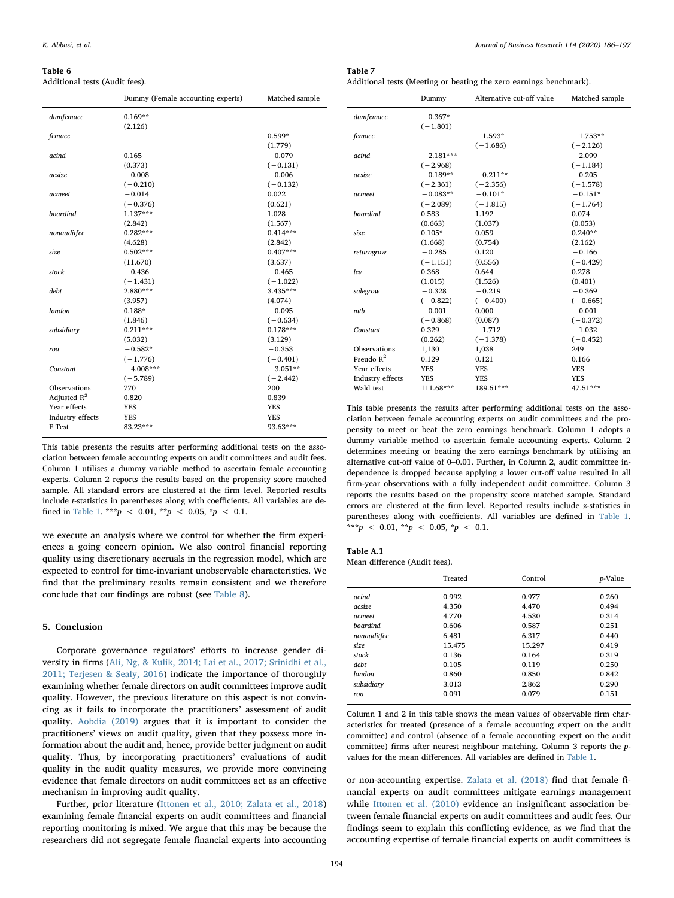<span id="page-8-1"></span>Table 6

Additional tests (Audit fees).

|                  | Dummy (Female accounting experts) | Matched sample |
|------------------|-----------------------------------|----------------|
| dumfemacc        | $0.169**$                         |                |
|                  | (2.126)                           |                |
| femacc           |                                   | $0.599*$       |
|                  |                                   | (1.779)        |
| acind            | 0.165                             | $-0.079$       |
|                  | (0.373)                           | $(-0.131)$     |
| acsize           | $-0.008$                          | $-0.006$       |
|                  | $(-0.210)$                        | $(-0.132)$     |
| acmeet           | $-0.014$                          | 0.022          |
|                  | $(-0.376)$                        | (0.621)        |
| <b>boardind</b>  | $1.137***$                        | 1.028          |
|                  | (2.842)                           | (1.567)        |
| nonauditfee      | $0.282***$                        | $0.414***$     |
|                  | (4.628)                           | (2.842)        |
| size             | $0.502***$                        | $0.407***$     |
|                  | (11.670)                          | (3.637)        |
| stock            | $-0.436$                          | $-0.465$       |
|                  | $(-1.431)$                        | $(-1.022)$     |
| deht             | $2.880***$                        | $3.435***$     |
|                  | (3.957)                           | (4.074)        |
| london           | $0.188*$                          | $-0.095$       |
|                  | (1.846)                           | $(-0.634)$     |
| subsidiary       | $0.211***$                        | $0.178***$     |
|                  | (5.032)                           | (3.129)        |
| roa              | $-0.582*$                         | $-0.353$       |
|                  | $(-1.776)$                        | $(-0.401)$     |
| Constant         | $-4.008***$                       | $-3.051**$     |
|                  | $(-5.789)$                        | $(-2.442)$     |
| Observations     | 770                               | 200            |
| Adjusted $R^2$   | 0.820                             | 0.839          |
| Year effects     | <b>YES</b>                        | <b>YES</b>     |
| Industry effects | <b>YES</b>                        | <b>YES</b>     |
| F Test           | 83.23***                          | 93.63***       |

This table presents the results after performing additional tests on the association between female accounting experts on audit committees and audit fees. Column 1 utilises a dummy variable method to ascertain female accounting experts. Column 2 reports the results based on the propensity score matched sample. All standard errors are clustered at the firm level. Reported results include t-statistics in parentheses along with coefficients. All variables are de-fined in [Table 1.](#page-4-1) \*\*\*p < 0.01, \*\*p < 0.05, \*p < 0.1.

we execute an analysis where we control for whether the firm experiences a going concern opinion. We also control financial reporting quality using discretionary accruals in the regression model, which are expected to control for time-invariant unobservable characteristics. We find that the preliminary results remain consistent and we therefore conclude that our findings are robust (see [Table 8](#page-9-1)).

# <span id="page-8-0"></span>5. Conclusion

Corporate governance regulators' efforts to increase gender diversity in firms ([Ali, Ng, & Kulik, 2014; Lai et al., 2017; Srinidhi et al.,](#page-10-55) [2011; Terjesen & Sealy, 2016\)](#page-10-55) indicate the importance of thoroughly examining whether female directors on audit committees improve audit quality. However, the previous literature on this aspect is not convincing as it fails to incorporate the practitioners' assessment of audit quality. [Aobdia \(2019\)](#page-10-5) argues that it is important to consider the practitioners' views on audit quality, given that they possess more information about the audit and, hence, provide better judgment on audit quality. Thus, by incorporating practitioners' evaluations of audit quality in the audit quality measures, we provide more convincing evidence that female directors on audit committees act as an effective mechanism in improving audit quality.

Further, prior literature ([Ittonen et al., 2010; Zalata et al., 2018\)](#page-10-7) examining female financial experts on audit committees and financial reporting monitoring is mixed. We argue that this may be because the researchers did not segregate female financial experts into accounting

<span id="page-8-2"></span>

| Table 7                                                            |
|--------------------------------------------------------------------|
| Additional tests (Meeting or beating the zero earnings benchmark). |

|                  | Dummy       | Alternative cut-off value | Matched sample |  |
|------------------|-------------|---------------------------|----------------|--|
| dumfemacc        | $-0.367*$   |                           |                |  |
|                  | $(-1.801)$  |                           |                |  |
| femacc           |             | $-1.593*$                 | $-1.753**$     |  |
|                  |             | $(-1.686)$                | $(-2.126)$     |  |
| acind            | $-2.181***$ |                           | $-2.099$       |  |
|                  | $(-2.968)$  |                           | $(-1.184)$     |  |
| acsize           | $-0.189**$  | $-0.211**$                | $-0.205$       |  |
|                  | $(-2.361)$  | $(-2.356)$                | $(-1.578)$     |  |
| acmeet           | $-0.083**$  | $-0.101*$                 | $-0.151*$      |  |
|                  | $(-2.089)$  | $(-1.815)$                | $(-1.764)$     |  |
| <b>boardind</b>  | 0.583       | 1.192                     | 0.074          |  |
|                  | (0.663)     | (1.037)                   | (0.053)        |  |
| size.            | $0.105*$    | 0.059                     | $0.240**$      |  |
|                  | (1.668)     | (0.754)                   | (2.162)        |  |
| returngrow       | $-0.285$    | 0.120                     | $-0.166$       |  |
|                  | $(-1.151)$  | (0.556)                   | $(-0.429)$     |  |
| lev              | 0.368       | 0.644                     | 0.278          |  |
|                  | (1.015)     | (1.526)                   | (0.401)        |  |
| salegrow         | $-0.328$    | $-0.219$                  | $-0.369$       |  |
|                  | $(-0.822)$  | $(-0.400)$                | $(-0.665)$     |  |
| mth              | $-0.001$    | 0.000                     | $-0.001$       |  |
|                  | $(-0.868)$  | (0.087)                   | $(-0.372)$     |  |
| Constant         | 0.329       | $-1.712$                  | $-1.032$       |  |
|                  | (0.262)     | $(-1.378)$                | $(-0.452)$     |  |
| Observations     | 1,130       | 1,038                     | 249            |  |
| Pseudo $R^2$     | 0.129       | 0.121                     | 0.166          |  |
| Year effects     | <b>YES</b>  | <b>YES</b>                | <b>YES</b>     |  |
| Industry effects | <b>YES</b>  | <b>YES</b>                | <b>YES</b>     |  |
| Wald test        | 111.68***   | 189.61***                 | 47.51***       |  |

This table presents the results after performing additional tests on the association between female accounting experts on audit committees and the propensity to meet or beat the zero earnings benchmark. Column 1 adopts a dummy variable method to ascertain female accounting experts. Column 2 determines meeting or beating the zero earnings benchmark by utilising an alternative cut-off value of 0–0.01. Further, in Column 2, audit committee independence is dropped because applying a lower cut-off value resulted in all firm-year observations with a fully independent audit committee. Column 3 reports the results based on the propensity score matched sample. Standard errors are clustered at the firm level. Reported results include z-statistics in parentheses along with coefficients. All variables are defined in [Table 1.](#page-4-1) \*\*\*p < 0.01, \*\*p < 0.05, \*p < 0.1.

<span id="page-8-3"></span>

| Table A.1 |                               |  |
|-----------|-------------------------------|--|
|           | Mean difference (Audit fees). |  |

|                 | Treated | Control | p-Value |
|-----------------|---------|---------|---------|
| acind           | 0.992   | 0.977   | 0.260   |
| acsize          | 4.350   | 4.470   | 0.494   |
| acmeet          | 4.770   | 4.530   | 0.314   |
| <b>boardind</b> | 0.606   | 0.587   | 0.251   |
| nonauditfee     | 6.481   | 6.317   | 0.440   |
| size            | 15.475  | 15.297  | 0.419   |
| stock           | 0.136   | 0.164   | 0.319   |
| debt            | 0.105   | 0.119   | 0.250   |
| london          | 0.860   | 0.850   | 0.842   |
| subsidiary      | 3.013   | 2.862   | 0.290   |
| roa             | 0.091   | 0.079   | 0.151   |

Column 1 and 2 in this table shows the mean values of observable firm characteristics for treated (presence of a female accounting expert on the audit committee) and control (absence of a female accounting expert on the audit committee) firms after nearest neighbour matching. Column 3 reports the pvalues for the mean differences. All variables are defined in [Table 1](#page-4-1).

or non-accounting expertise. [Zalata et al. \(2018\)](#page-11-5) find that female financial experts on audit committees mitigate earnings management while [Ittonen et al. \(2010\)](#page-10-7) evidence an insignificant association between female financial experts on audit committees and audit fees. Our findings seem to explain this conflicting evidence, as we find that the accounting expertise of female financial experts on audit committees is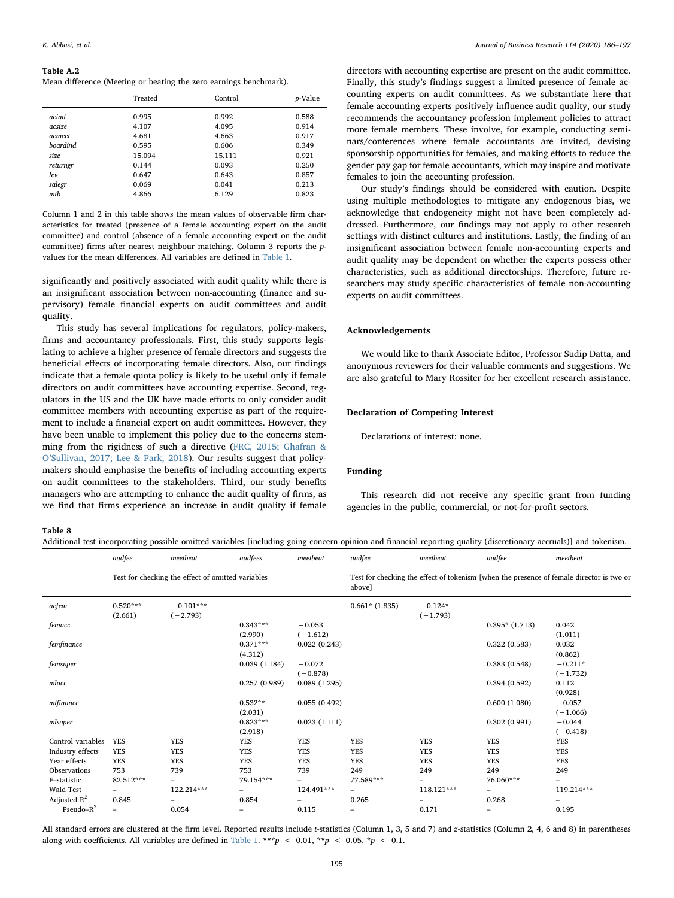#### <span id="page-9-0"></span>Table A.2

Mean difference (Meeting or beating the zero earnings benchmark).

|                 | Treated | Control | <i>p</i> -Value |
|-----------------|---------|---------|-----------------|
| acind           | 0.995   | 0.992   | 0.588           |
| acsize          | 4.107   | 4.095   | 0.914           |
| acmeet          | 4.681   | 4.663   | 0.917           |
| <b>boardind</b> | 0.595   | 0.606   | 0.349           |
| size            | 15.094  | 15.111  | 0.921           |
| returngr        | 0.144   | 0.093   | 0.250           |
| lev             | 0.647   | 0.643   | 0.857           |
| salegr          | 0.069   | 0.041   | 0.213           |
| mtb             | 4.866   | 6.129   | 0.823           |

Column 1 and 2 in this table shows the mean values of observable firm characteristics for treated (presence of a female accounting expert on the audit committee) and control (absence of a female accounting expert on the audit committee) firms after nearest neighbour matching. Column 3 reports the pvalues for the mean differences. All variables are defined in [Table 1](#page-4-1).

significantly and positively associated with audit quality while there is an insignificant association between non-accounting (finance and supervisory) female financial experts on audit committees and audit quality.

This study has several implications for regulators, policy-makers, firms and accountancy professionals. First, this study supports legislating to achieve a higher presence of female directors and suggests the beneficial effects of incorporating female directors. Also, our findings indicate that a female quota policy is likely to be useful only if female directors on audit committees have accounting expertise. Second, regulators in the US and the UK have made efforts to only consider audit committee members with accounting expertise as part of the requirement to include a financial expert on audit committees. However, they have been unable to implement this policy due to the concerns stemming from the rigidness of such a directive [\(FRC, 2015; Ghafran &](#page-10-9) O'[Sullivan, 2017; Lee & Park, 2018\)](#page-10-9). Our results suggest that policymakers should emphasise the benefits of including accounting experts on audit committees to the stakeholders. Third, our study benefits managers who are attempting to enhance the audit quality of firms, as we find that firms experience an increase in audit quality if female

directors with accounting expertise are present on the audit committee. Finally, this study's findings suggest a limited presence of female accounting experts on audit committees. As we substantiate here that female accounting experts positively influence audit quality, our study recommends the accountancy profession implement policies to attract more female members. These involve, for example, conducting seminars/conferences where female accountants are invited, devising sponsorship opportunities for females, and making efforts to reduce the gender pay gap for female accountants, which may inspire and motivate females to join the accounting profession.

Our study's findings should be considered with caution. Despite using multiple methodologies to mitigate any endogenous bias, we acknowledge that endogeneity might not have been completely addressed. Furthermore, our findings may not apply to other research settings with distinct cultures and institutions. Lastly, the finding of an insignificant association between female non-accounting experts and audit quality may be dependent on whether the experts possess other characteristics, such as additional directorships. Therefore, future researchers may study specific characteristics of female non-accounting experts on audit committees.

# Acknowledgements

We would like to thank Associate Editor, Professor Sudip Datta, and anonymous reviewers for their valuable comments and suggestions. We are also grateful to Mary Rossiter for her excellent research assistance.

# Declaration of Competing Interest

Declarations of interest: none.

## Funding

This research did not receive any specific grant from funding agencies in the public, commercial, or not-for-profit sectors.

#### <span id="page-9-1"></span>Table 8

Additional test incorporating possible omitted variables [including going concern opinion and financial reporting quality (discretionary accruals)] and tokenism.

|                   | audfee                                            | meetbeat                  | audfees                  | meetbeat                                                                                           | audfee           | meetbeat                | audfee          | meetbeat                 |
|-------------------|---------------------------------------------------|---------------------------|--------------------------|----------------------------------------------------------------------------------------------------|------------------|-------------------------|-----------------|--------------------------|
|                   | Test for checking the effect of omitted variables |                           |                          | Test for checking the effect of tokenism [when the presence of female director is two or<br>above] |                  |                         |                 |                          |
| acfem             | $0.520***$<br>(2.661)                             | $-0.101***$<br>$(-2.793)$ |                          |                                                                                                    | $0.661*$ (1.835) | $-0.124*$<br>$(-1.793)$ |                 |                          |
| femacc            |                                                   |                           | $0.343***$<br>(2.990)    | $-0.053$<br>$(-1.612)$                                                                             |                  |                         | $0.395*(1.713)$ | 0.042<br>(1.011)         |
| femfinance        |                                                   |                           | $0.371***$<br>(4.312)    | 0.022(0.243)                                                                                       |                  |                         | 0.322(0.583)    | 0.032<br>(0.862)         |
| femsuper          |                                                   |                           | 0.039(1.184)             | $-0.072$<br>$(-0.878)$                                                                             |                  |                         | 0.383(0.548)    | $-0.211*$<br>$(-1.732)$  |
| mlacc             |                                                   |                           | 0.257(0.989)             | 0.089(1.295)                                                                                       |                  |                         | 0.394(0.592)    | 0.112<br>(0.928)         |
| mlfinance         |                                                   |                           | $0.532**$<br>(2.031)     | 0.055(0.492)                                                                                       |                  |                         | 0.600(1.080)    | $-0.057$<br>$(-1.066)$   |
| mlsuper           |                                                   |                           | $0.823***$<br>(2.918)    | 0.023(1.111)                                                                                       |                  |                         | 0.302(0.991)    | $-0.044$<br>$(-0.418)$   |
| Control variables | <b>YES</b>                                        | <b>YES</b>                | <b>YES</b>               | <b>YES</b>                                                                                         | <b>YES</b>       | <b>YES</b>              | <b>YES</b>      | <b>YES</b>               |
| Industry effects  | <b>YES</b>                                        | <b>YES</b>                | <b>YES</b>               | <b>YES</b>                                                                                         | <b>YES</b>       | <b>YES</b>              | <b>YES</b>      | YES                      |
| Year effects      | <b>YES</b>                                        | <b>YES</b>                | <b>YES</b>               | <b>YES</b>                                                                                         | <b>YES</b>       | <b>YES</b>              | <b>YES</b>      | YES                      |
| Observations      | 753                                               | 739                       | 753                      | 739                                                                                                | 249              | 249                     | 249             | 249                      |
| F-statistic       | 82.512***                                         | $\overline{\phantom{0}}$  | 79.154***                | -                                                                                                  | 77.589***        | -                       | 76.060***       | $\overline{\phantom{0}}$ |
| Wald Test         | -                                                 | 122.214***                |                          | 124.491***                                                                                         | -                | 118.121***              |                 | 119.214***               |
| Adjusted $R^2$    | 0.845                                             |                           | 0.854                    |                                                                                                    | 0.265            |                         | 0.268           |                          |
| Pseudo $-R^2$     | $\overline{\phantom{0}}$                          | 0.054                     | $\overline{\phantom{m}}$ | 0.115                                                                                              | -                | 0.171                   | -               | 0.195                    |

All standard errors are clustered at the firm level. Reported results include t-statistics (Column 1, 3, 5 and 7) and z-statistics (Column 2, 4, 6 and 8) in parentheses along with coefficients. All variables are defined in [Table 1](#page-4-1). \*\*\*p < 0.01, \*\*p < 0.05, \*p < 0.1.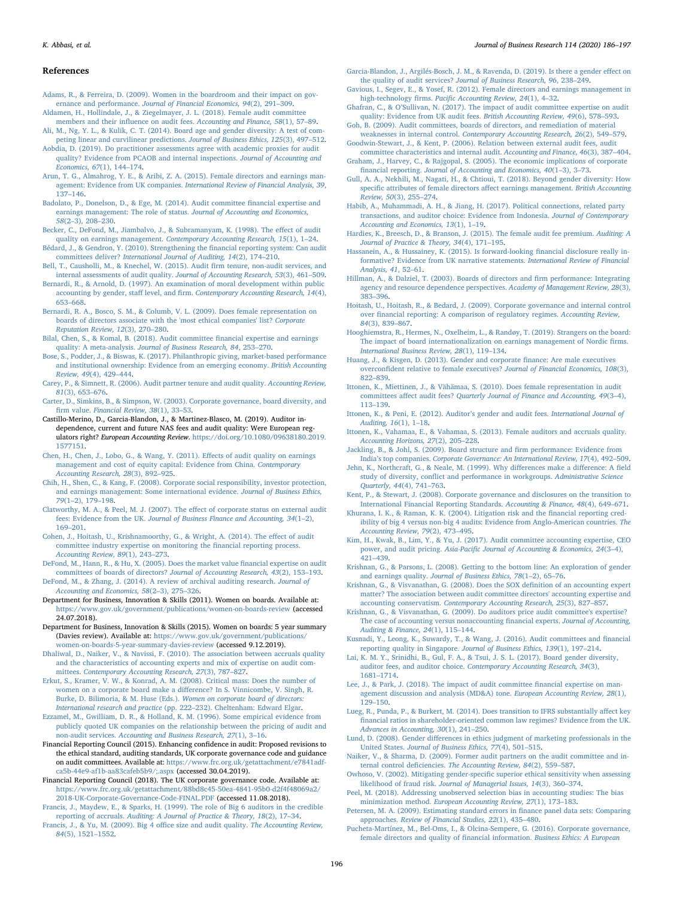#### K. Abbasi, et al. *Journal of Business Research 114 (2020) 186–197*

#### References

- <span id="page-10-17"></span>[Adams, R., & Ferreira, D. \(2009\). Women in the boardroom and their impact on gov](http://refhub.elsevier.com/S0148-2963(20)30229-0/h0005)ernance and performance. [Journal of Financial Economics, 94](http://refhub.elsevier.com/S0148-2963(20)30229-0/h0005)(2), 291–309.
- <span id="page-10-0"></span>[Aldamen, H., Hollindale, J., & Ziegelmayer, J. L. \(2018\). Female audit committee](http://refhub.elsevier.com/S0148-2963(20)30229-0/h0010) members and their influence on audit fees. [Accounting and Finance, 58](http://refhub.elsevier.com/S0148-2963(20)30229-0/h0010)(1), 57–89.
- <span id="page-10-55"></span>[Ali, M., Ng, Y. L., & Kulik, C. T. \(2014\). Board age and gender diversity: A test of com](http://refhub.elsevier.com/S0148-2963(20)30229-0/h0015)[peting linear and curvilinear predictions.](http://refhub.elsevier.com/S0148-2963(20)30229-0/h0015) Journal of Business Ethics, 125(3), 497–512.
- <span id="page-10-5"></span>[Aobdia, D. \(2019\). Do practitioner assessments agree with academic proxies for audit](http://refhub.elsevier.com/S0148-2963(20)30229-0/h0020) [quality? Evidence from PCAOB and internal inspections.](http://refhub.elsevier.com/S0148-2963(20)30229-0/h0020) Journal of Accounting and [Economics, 67](http://refhub.elsevier.com/S0148-2963(20)30229-0/h0020)(1), 144–174.
- <span id="page-10-44"></span>[Arun, T. G., Almahrog, Y. E., & Aribi, Z. A. \(2015\). Female directors and earnings man](http://refhub.elsevier.com/S0148-2963(20)30229-0/h0025)agement: Evidence from UK companies. [International Review of Financial Analysis, 39](http://refhub.elsevier.com/S0148-2963(20)30229-0/h0025), 137–[146](http://refhub.elsevier.com/S0148-2963(20)30229-0/h0025).
- <span id="page-10-10"></span>[Badolato, P., Donelson, D., & Ege, M. \(2014\). Audit committee](http://refhub.elsevier.com/S0148-2963(20)30229-0/h0030) financial expertise and [earnings management: The role of status.](http://refhub.elsevier.com/S0148-2963(20)30229-0/h0030) Journal of Accounting and Economics, 58(2–[3\), 208](http://refhub.elsevier.com/S0148-2963(20)30229-0/h0030)–230.
- <span id="page-10-42"></span>[Becker, C., DeFond, M., Jiambalvo, J., & Subramanyam, K. \(1998\). The e](http://refhub.elsevier.com/S0148-2963(20)30229-0/h0035)ffect of audit
- <span id="page-10-2"></span>quality on earnings management. [Contemporary Accounting Research, 15](http://refhub.elsevier.com/S0148-2963(20)30229-0/h0035)(1), 1–24. [Bédard, J., & Gendron, Y. \(2010\). Strengthening the](http://refhub.elsevier.com/S0148-2963(20)30229-0/h0040) financial reporting system: Can audit
- committees deliver? [International Journal of Auditing, 14](http://refhub.elsevier.com/S0148-2963(20)30229-0/h0040)(2), 174–210. [Bell, T., Causholli, M., & Knechel, W. \(2015\). Audit](http://refhub.elsevier.com/S0148-2963(20)30229-0/h0045) firm tenure, non-audit services, and
- <span id="page-10-16"></span>[internal assessments of audit quality.](http://refhub.elsevier.com/S0148-2963(20)30229-0/h0045) Journal of Accounting Research, 53(3), 461–509. [Bernardi, R., & Arnold, D. \(1997\). An examination of moral development within public](http://refhub.elsevier.com/S0148-2963(20)30229-0/h0050) accounting by gender, staff level, and firm. [Contemporary Accounting Research, 14](http://refhub.elsevier.com/S0148-2963(20)30229-0/h0050)(4), 653–[668](http://refhub.elsevier.com/S0148-2963(20)30229-0/h0050).
- <span id="page-10-15"></span>[Bernardi, R. A., Bosco, S. M., & Columb, V. L. \(2009\). Does female representation on](http://refhub.elsevier.com/S0148-2963(20)30229-0/h0055) [boards of directors associate with the 'most ethical companies' list?](http://refhub.elsevier.com/S0148-2963(20)30229-0/h0055) Corporate [Reputation Review, 12](http://refhub.elsevier.com/S0148-2963(20)30229-0/h0055)(3), 270–280.
- <span id="page-10-8"></span>[Bilal, Chen, S., & Komal, B. \(2018\). Audit committee](http://refhub.elsevier.com/S0148-2963(20)30229-0/h0060) financial expertise and earnings [quality: A meta-analysis.](http://refhub.elsevier.com/S0148-2963(20)30229-0/h0060) Journal of Business Research, 84, 253–270.
- <span id="page-10-47"></span>[Bose, S., Podder, J., & Biswas, K. \(2017\). Philanthropic giving, market-based performance](http://refhub.elsevier.com/S0148-2963(20)30229-0/h0065) [and institutional ownership: Evidence from an emerging economy.](http://refhub.elsevier.com/S0148-2963(20)30229-0/h0065) British Accounting [Review, 49](http://refhub.elsevier.com/S0148-2963(20)30229-0/h0065)(4), 429–444.
- <span id="page-10-43"></span>[Carey, P., & Simnett, R. \(2006\). Audit partner tenure and audit quality.](http://refhub.elsevier.com/S0148-2963(20)30229-0/h0070) Accounting Review, 81[\(3\), 653](http://refhub.elsevier.com/S0148-2963(20)30229-0/h0070)–676.
- <span id="page-10-24"></span>[Carter, D., Simkins, B., & Simpson, W. \(2003\). Corporate governance, board diversity, and](http://refhub.elsevier.com/S0148-2963(20)30229-0/h0075) firm value. [Financial Review, 38](http://refhub.elsevier.com/S0148-2963(20)30229-0/h0075)(1), 33–53.
- Castillo-Merino, D., Garcia-Blandon, J., & Martinez-Blasco, M. (2019). Auditor independence, current and future NAS fees and audit quality: Were European regulators right? European Accounting Review. [https://doi.org/10.1080/09638180.2019.](https://doi.org/10.1080/09638180.2019.1577151) [1577151.](https://doi.org/10.1080/09638180.2019.1577151)
- [Chen, H., Chen, J., Lobo, G., & Wang, Y. \(2011\). E](http://refhub.elsevier.com/S0148-2963(20)30229-0/h0085)ffects of audit quality on earnings [management and cost of equity capital: Evidence from China.](http://refhub.elsevier.com/S0148-2963(20)30229-0/h0085) Contemporary [Accounting Research, 28](http://refhub.elsevier.com/S0148-2963(20)30229-0/h0085)(3), 892–925.
- <span id="page-10-37"></span>[Chih, H., Shen, C., & Kang, F. \(2008\). Corporate social responsibility, investor protection,](http://refhub.elsevier.com/S0148-2963(20)30229-0/h0090) [and earnings management: Some international evidence.](http://refhub.elsevier.com/S0148-2963(20)30229-0/h0090) Journal of Business Ethics, 79(1–[2\), 179](http://refhub.elsevier.com/S0148-2963(20)30229-0/h0090)–198.
- <span id="page-10-38"></span>[Clatworthy, M. A., & Peel, M. J. \(2007\). The e](http://refhub.elsevier.com/S0148-2963(20)30229-0/h0095)ffect of corporate status on external audit fees: Evidence from the UK. [Journal of Business Finance and Accounting, 34](http://refhub.elsevier.com/S0148-2963(20)30229-0/h0095)(1–2), 169–[201](http://refhub.elsevier.com/S0148-2963(20)30229-0/h0095).
- <span id="page-10-30"></span>[Cohen, J., Hoitash, U., Krishnamoorthy, G., & Wright, A. \(2014\). The e](http://refhub.elsevier.com/S0148-2963(20)30229-0/h0100)ffect of audit [committee industry expertise on monitoring the](http://refhub.elsevier.com/S0148-2963(20)30229-0/h0100) financial reporting process. [Accounting Review, 89](http://refhub.elsevier.com/S0148-2963(20)30229-0/h0100)(1), 243–273.
- <span id="page-10-26"></span>[DeFond, M., Hann, R., & Hu, X. \(2005\). Does the market value](http://refhub.elsevier.com/S0148-2963(20)30229-0/h0105) financial expertise on audit [committees of boards of directors?](http://refhub.elsevier.com/S0148-2963(20)30229-0/h0105) Journal of Accounting Research, 43(2), 153–193.

<span id="page-10-41"></span>[DeFond, M., & Zhang, J. \(2014\). A review of archival auditing research.](http://refhub.elsevier.com/S0148-2963(20)30229-0/h0110) Journal of [Accounting and Economics, 58](http://refhub.elsevier.com/S0148-2963(20)30229-0/h0110)(2–3), 275–326.

- <span id="page-10-46"></span>Department for Business, Innovation & Skills (2011). Women on boards. Available at: <https://www.gov.uk/government/publications/women-on-boards-review> (accessed 24.07.2018).
- <span id="page-10-4"></span>Department for Business, Innovation & Skills (2015). Women on boards: 5 year summary (Davies review). Available at: [https://www.gov.uk/government/publications/](https://www.gov.uk/government/publications/women-on-boards-5-year-summary-davies-review) [women-on-boards-5-year-summary-davies-review](https://www.gov.uk/government/publications/women-on-boards-5-year-summary-davies-review) (accessed 9.12.2019).
- <span id="page-10-1"></span>[Dhaliwal, D., Naiker, V., & Navissi, F. \(2010\). The association between accruals quality](http://refhub.elsevier.com/S0148-2963(20)30229-0/h0125) [and the characteristics of accounting experts and mix of expertise on audit com](http://refhub.elsevier.com/S0148-2963(20)30229-0/h0125)mittees. [Contemporary Accounting Research, 27](http://refhub.elsevier.com/S0148-2963(20)30229-0/h0125)(3), 787–827.
- <span id="page-10-54"></span>[Erkut, S., Kramer, V. W., & Konrad, A. M. \(2008\). Critical mass: Does the number of](http://refhub.elsevier.com/S0148-2963(20)30229-0/h0130) [women on a corporate board make a di](http://refhub.elsevier.com/S0148-2963(20)30229-0/h0130)fference? In S. Vinnicombe, V. Singh, R. [Burke, D. Bilimoria, & M. Huse \(Eds.\).](http://refhub.elsevier.com/S0148-2963(20)30229-0/h0130) Women on corporate board of directors: International research and practice (pp. 222–[232\). Cheltenham: Edward Elgar](http://refhub.elsevier.com/S0148-2963(20)30229-0/h0130).
- <span id="page-10-39"></span>[Ezzamel, M., Gwilliam, D. R., & Holland, K. M. \(1996\). Some empirical evidence from](http://refhub.elsevier.com/S0148-2963(20)30229-0/h0135) [publicly quoted UK companies on the relationship between the pricing of audit and](http://refhub.elsevier.com/S0148-2963(20)30229-0/h0135) non-audit services. [Accounting and Business Research, 27](http://refhub.elsevier.com/S0148-2963(20)30229-0/h0135)(1), 3–16.
- <span id="page-10-9"></span>Financial Reporting Council (2015). Enhancing confidence in audit: Proposed revisions to the ethical standard, auditing standards, UK corporate governance code and guidance on audit committees. Available at: [https://www.frc.org.uk/getattachment/e7841adf](https://www.frc.org.uk/getattachment/e7841adf-ca5b-44e9-af1b-aa83cafeb5b9/%3b.aspx)[ca5b-44e9-af1b-aa83cafeb5b9/;.aspx](https://www.frc.org.uk/getattachment/e7841adf-ca5b-44e9-af1b-aa83cafeb5b9/%3b.aspx) (accessed 30.04.2019).
- <span id="page-10-3"></span>Financial Reporting Council (2018). The UK corporate governance code. Available at: [https://www.frc.org.uk/getattachment/88bd8c45-50ea-4841-95b0-d2f4f48069a2/](https://www.frc.org.uk/getattachment/88bd8c45-50ea-4841-95b0-d2f4f48069a2/2018-UK-Corporate-Governance-Code-FINAL.PDF) [2018-UK-Corporate-Governance-Code-FINAL.PDF](https://www.frc.org.uk/getattachment/88bd8c45-50ea-4841-95b0-d2f4f48069a2/2018-UK-Corporate-Governance-Code-FINAL.PDF) (accessed 11.08.2018).
- [Francis, J., Maydew, E., & Sparks, H. \(1999\). The role of Big 6 auditors in the credible](http://refhub.elsevier.com/S0148-2963(20)30229-0/h0150) reporting of accruals. [Auditing: A Journal of Practice & Theory, 18](http://refhub.elsevier.com/S0148-2963(20)30229-0/h0150)(2), 17–34.
- [Francis, J., & Yu, M. \(2009\). Big 4 o](http://refhub.elsevier.com/S0148-2963(20)30229-0/h0155)ffice size and audit quality. The Accounting Review, 84[\(5\), 1521](http://refhub.elsevier.com/S0148-2963(20)30229-0/h0155)–1552.

<span id="page-10-19"></span>[Garcia-Blandon, J., Argilés-Bosch, J. M., & Ravenda, D. \(2019\). Is there a gender e](http://refhub.elsevier.com/S0148-2963(20)30229-0/h0160)ffect on the quality of audit services? [Journal of Business Research, 96](http://refhub.elsevier.com/S0148-2963(20)30229-0/h0160), 238–249.

<span id="page-10-21"></span>[Gavious, I., Segev, E., & Yosef, R. \(2012\). Female directors and earnings management in](http://refhub.elsevier.com/S0148-2963(20)30229-0/h0165) high-technology firms. Pacifi[c Accounting Review, 24](http://refhub.elsevier.com/S0148-2963(20)30229-0/h0165)(1), 4–32.

- <span id="page-10-12"></span>Ghafran, C., & O'[Sullivan, N. \(2017\). The impact of audit committee expertise on audit](http://refhub.elsevier.com/S0148-2963(20)30229-0/h0170) [quality: Evidence from UK audit fees.](http://refhub.elsevier.com/S0148-2963(20)30229-0/h0170) British Accounting Review, 49(6), 578–593. [Goh, B. \(2009\). Audit committees, boards of directors, and remediation of material](http://refhub.elsevier.com/S0148-2963(20)30229-0/h0175)
- <span id="page-10-34"></span>weaknesses in internal control. [Contemporary Accounting Research, 26](http://refhub.elsevier.com/S0148-2963(20)30229-0/h0175)(2), 549–579. [Goodwin-Stewart, J., & Kent, P. \(2006\). Relation between external audit fees, audit](http://refhub.elsevier.com/S0148-2963(20)30229-0/h0180)
- <span id="page-10-40"></span>[committee characteristics and internal audit.](http://refhub.elsevier.com/S0148-2963(20)30229-0/h0180) Accounting and Finance, 46(3), 387–404. Graham, [J., Harvey, C., & Rajgopal, S. \(2005\). The economic implications of corporate](http://refhub.elsevier.com/S0148-2963(20)30229-0/h0185) financial reporting. [Journal of Accounting and Economics, 40](http://refhub.elsevier.com/S0148-2963(20)30229-0/h0185)(1–3), 3–73.
- <span id="page-10-52"></span>[Gull, A. A., Nekhili, M., Nagati, H., & Chtioui, T. \(2018\). Beyond gender diversity: How](http://refhub.elsevier.com/S0148-2963(20)30229-0/h0190) specifi[c attributes of female directors a](http://refhub.elsevier.com/S0148-2963(20)30229-0/h0190)ffect earnings management. British Accounting [Review, 50](http://refhub.elsevier.com/S0148-2963(20)30229-0/h0190)(3), 255–274.
- <span id="page-10-50"></span>[Habib, A., Muhammadi, A. H., & Jiang, H. \(2017\). Political connections, related party](http://refhub.elsevier.com/S0148-2963(20)30229-0/h0195) [transactions, and auditor choice: Evidence from Indonesia.](http://refhub.elsevier.com/S0148-2963(20)30229-0/h0195) Journal of Contemporary [Accounting and Economics, 13](http://refhub.elsevier.com/S0148-2963(20)30229-0/h0195)(1), 1–19.
- <span id="page-10-51"></span>[Hardies, K., Breesch, D., & Branson, J. \(2015\). The female audit fee premium.](http://refhub.elsevier.com/S0148-2963(20)30229-0/h0200) Auditing: A [Journal of Practice & Theory, 34](http://refhub.elsevier.com/S0148-2963(20)30229-0/h0200)(4), 171–195.
- <span id="page-10-49"></span>[Hassanein, A., & Hussainey, K. \(2015\). Is forward-looking](http://refhub.elsevier.com/S0148-2963(20)30229-0/h0205) financial disclosure really in[formative? Evidence from UK narrative statements.](http://refhub.elsevier.com/S0148-2963(20)30229-0/h0205) International Review of Financial [Analysis, 41](http://refhub.elsevier.com/S0148-2963(20)30229-0/h0205), 52–61.
- <span id="page-10-25"></span>[Hillman, A., & Dalziel, T. \(2003\). Boards of directors and](http://refhub.elsevier.com/S0148-2963(20)30229-0/h0210) firm performance: Integrating [agency and resource dependence perspectives.](http://refhub.elsevier.com/S0148-2963(20)30229-0/h0210) Academy of Management Review, 28(3), 383–[396](http://refhub.elsevier.com/S0148-2963(20)30229-0/h0210).
- <span id="page-10-31"></span>[Hoitash, U., Hoitash, R., & Bedard, J. \(2009\). Corporate governance and internal control](http://refhub.elsevier.com/S0148-2963(20)30229-0/h0215) over fi[nancial reporting: A comparison of regulatory regimes.](http://refhub.elsevier.com/S0148-2963(20)30229-0/h0215) Accounting Review, 84[\(3\), 839](http://refhub.elsevier.com/S0148-2963(20)30229-0/h0215)–867.
- [Hooghiemstra, R., Hermes, N., Oxelheim, L., & Randøy, T. \(2019\). Strangers on the board:](http://refhub.elsevier.com/S0148-2963(20)30229-0/h0220) [The impact of board internationalization on earnings management of Nordic](http://refhub.elsevier.com/S0148-2963(20)30229-0/h0220) firms. [International Business Review, 28](http://refhub.elsevier.com/S0148-2963(20)30229-0/h0220)(1), 119–134.
- <span id="page-10-18"></span>[Huang, J., & Kisgen, D. \(2013\). Gender and corporate](http://refhub.elsevier.com/S0148-2963(20)30229-0/h0225) finance: Are male executives overconfi[dent relative to female executives?](http://refhub.elsevier.com/S0148-2963(20)30229-0/h0225) Journal of Financial Economics, 108(3), 822–[839](http://refhub.elsevier.com/S0148-2963(20)30229-0/h0225).
- <span id="page-10-7"></span>[Ittonen, K., Miettinen, J., & Vähämaa, S. \(2010\). Does female representation in audit](http://refhub.elsevier.com/S0148-2963(20)30229-0/h0230) committees affect audit fees? [Quarterly Journal of Finance and Accounting, 49](http://refhub.elsevier.com/S0148-2963(20)30229-0/h0230)(3–4), 113–[139](http://refhub.elsevier.com/S0148-2963(20)30229-0/h0230).
- <span id="page-10-23"></span>Ittonen, [K., & Peni, E. \(2012\). Auditor](http://refhub.elsevier.com/S0148-2963(20)30229-0/h0235)'s gender and audit fees. International Journal of [Auditing, 16](http://refhub.elsevier.com/S0148-2963(20)30229-0/h0235)(1), 1–18.
- <span id="page-10-45"></span>[Ittonen, K., Vahamaa, E., & Vahamaa, S. \(2013\). Female auditors and accruals quality.](http://refhub.elsevier.com/S0148-2963(20)30229-0/h0240) [Accounting Horizons, 27](http://refhub.elsevier.com/S0148-2963(20)30229-0/h0240)(2), 205–228.

[Jackling, B., & Johl, S. \(2009\). Board structure and](http://refhub.elsevier.com/S0148-2963(20)30229-0/h0245) firm performance: Evidence from India's top companies. [Corporate Governance: An International Review, 17](http://refhub.elsevier.com/S0148-2963(20)30229-0/h0245)(4), 492–509.

- <span id="page-10-22"></span>[Jehn, K., Northcraft, G., & Neale, M. \(1999\). Why di](http://refhub.elsevier.com/S0148-2963(20)30229-0/h0250)fferences make a difference: A field study of diversity, confl[ict and performance in workgroups.](http://refhub.elsevier.com/S0148-2963(20)30229-0/h0250) Administrative Science [Quarterly, 44](http://refhub.elsevier.com/S0148-2963(20)30229-0/h0250)(4), 741–763.
- <span id="page-10-36"></span>[Kent, P., & Stewart, J. \(2008\). Corporate governance and disclosures on the transition to](http://refhub.elsevier.com/S0148-2963(20)30229-0/h0255) [International Financial Reporting Standards.](http://refhub.elsevier.com/S0148-2963(20)30229-0/h0255) Accounting & Finance, 48(4), 649–671.
- <span id="page-10-11"></span>[Khurana, I. K., & Raman, K. K. \(2004\). Litigation risk and the](http://refhub.elsevier.com/S0148-2963(20)30229-0/h0260) financial reporting cred[ibility of big 4 versus non-big 4 audits: Evidence from Anglo-American countries.](http://refhub.elsevier.com/S0148-2963(20)30229-0/h0260) The [Accounting Review, 79](http://refhub.elsevier.com/S0148-2963(20)30229-0/h0260)(2), 473–495.
- <span id="page-10-28"></span>[Kim, H., Kwak, B., Lim, Y., & Yu, J. \(2017\). Audit committee accounting expertise, CEO](http://refhub.elsevier.com/S0148-2963(20)30229-0/h0265) power, and audit pricing. Asia-Pacifi[c Journal of Accounting & Economics, 24](http://refhub.elsevier.com/S0148-2963(20)30229-0/h0265)(3–4), 421–[439](http://refhub.elsevier.com/S0148-2963(20)30229-0/h0265).
- <span id="page-10-13"></span>[Krishnan, G., & Parsons, L. \(2008\). Getting to the bottom line: An exploration of gender](http://refhub.elsevier.com/S0148-2963(20)30229-0/h0270) and earnings quality. [Journal of Business Ethics, 78](http://refhub.elsevier.com/S0148-2963(20)30229-0/h0270)(1–2), 65–76.
- <span id="page-10-27"></span>[Krishnan, G., & Visvanathan, G. \(2008\). Does the SOX de](http://refhub.elsevier.com/S0148-2963(20)30229-0/h0275)finition of an accounting expert [matter? The association between audit committee directors' accounting expertise and](http://refhub.elsevier.com/S0148-2963(20)30229-0/h0275) accounting conservatism. [Contemporary Accounting Research, 25](http://refhub.elsevier.com/S0148-2963(20)30229-0/h0275)(3), 827–857.
- <span id="page-10-33"></span>[Krishnan, G., & Visvanathan, G. \(2009\). Do auditors price audit committee's expertise?](http://refhub.elsevier.com/S0148-2963(20)30229-0/h0280) [The case of accounting versus nonaccounting](http://refhub.elsevier.com/S0148-2963(20)30229-0/h0280) financial experts. Journal of Accounting, [Auditing & Finance, 24](http://refhub.elsevier.com/S0148-2963(20)30229-0/h0280)(1), 115–144.
- Kusnadi, [Y., Leong, K., Suwardy, T., & Wang, J. \(2016\). Audit committees and](http://refhub.elsevier.com/S0148-2963(20)30229-0/h0285) financial [reporting quality in Singapore.](http://refhub.elsevier.com/S0148-2963(20)30229-0/h0285) Journal of Business Ethics, 139(1), 197–214.
- <span id="page-10-6"></span>[Lai, K. M. Y., Srinidhi, B., Gul, F. A., & Tsui, J. S. L. \(2017\). Board gender diversity,](http://refhub.elsevier.com/S0148-2963(20)30229-0/h0290) auditor fees, and auditor choice. [Contemporary Accounting Research, 34](http://refhub.elsevier.com/S0148-2963(20)30229-0/h0290)(3), 1681–[1714](http://refhub.elsevier.com/S0148-2963(20)30229-0/h0290).
- <span id="page-10-29"></span>[Lee, J., & Park, J. \(2018\). The impact of audit committee](http://refhub.elsevier.com/S0148-2963(20)30229-0/h0295) financial expertise on man[agement discussion and analysis \(MD&A\) tone.](http://refhub.elsevier.com/S0148-2963(20)30229-0/h0295) European Accounting Review, 28(1), 129–[150](http://refhub.elsevier.com/S0148-2963(20)30229-0/h0295).
- <span id="page-10-35"></span>[Lueg, R., Punda, P., & Burkert, M. \(2014\). Does transition to IFRS substantially a](http://refhub.elsevier.com/S0148-2963(20)30229-0/h0300)ffect key fi[nancial ratios in shareholder-oriented common law regimes? Evidence from the UK.](http://refhub.elsevier.com/S0148-2963(20)30229-0/h0300) [Advances in Accounting, 30](http://refhub.elsevier.com/S0148-2963(20)30229-0/h0300)(1), 241–250.
- <span id="page-10-14"></span>Lund, D. (2008). Gender diff[erences in ethics judgment of marketing professionals in the](http://refhub.elsevier.com/S0148-2963(20)30229-0/h0305) United States. [Journal of Business Ethics, 77](http://refhub.elsevier.com/S0148-2963(20)30229-0/h0305)(4), 501–515.
- <span id="page-10-32"></span>[Naiker, V., & Sharma, D. \(2009\). Former audit partners on the audit committee and in](http://refhub.elsevier.com/S0148-2963(20)30229-0/h0310)ternal control deficiencies. [The Accounting Review, 84](http://refhub.elsevier.com/S0148-2963(20)30229-0/h0310)(2), 559–587.
- Owhoso, V. (2002). Mitigating gender-specifi[c superior ethical sensitivity when assessing](http://refhub.elsevier.com/S0148-2963(20)30229-0/h0315) likelihood of fraud risk. [Journal of Managerial Issues, 14](http://refhub.elsevier.com/S0148-2963(20)30229-0/h0315)(3), 360–374.
- <span id="page-10-53"></span>[Peel, M. \(2018\). Addressing unobserved selection bias in accounting studies: The bias](http://refhub.elsevier.com/S0148-2963(20)30229-0/h0320) minimization method. [European Accounting Review, 27](http://refhub.elsevier.com/S0148-2963(20)30229-0/h0320)(1), 173–183.
- <span id="page-10-48"></span>[Petersen, M. A. \(2009\). Estimating standard errors in](http://refhub.elsevier.com/S0148-2963(20)30229-0/h0325) finance panel data sets: Comparing approaches. [Review of Financial Studies, 22](http://refhub.elsevier.com/S0148-2963(20)30229-0/h0325)(1), 435–480.
- <span id="page-10-20"></span>[Pucheta-Martínez, M., Bel-Oms, I., & Olcina-Sempere, G. \(2016\). Corporate governance,](http://refhub.elsevier.com/S0148-2963(20)30229-0/h0330) [female directors and quality of](http://refhub.elsevier.com/S0148-2963(20)30229-0/h0330) financial information. Business Ethics: A European